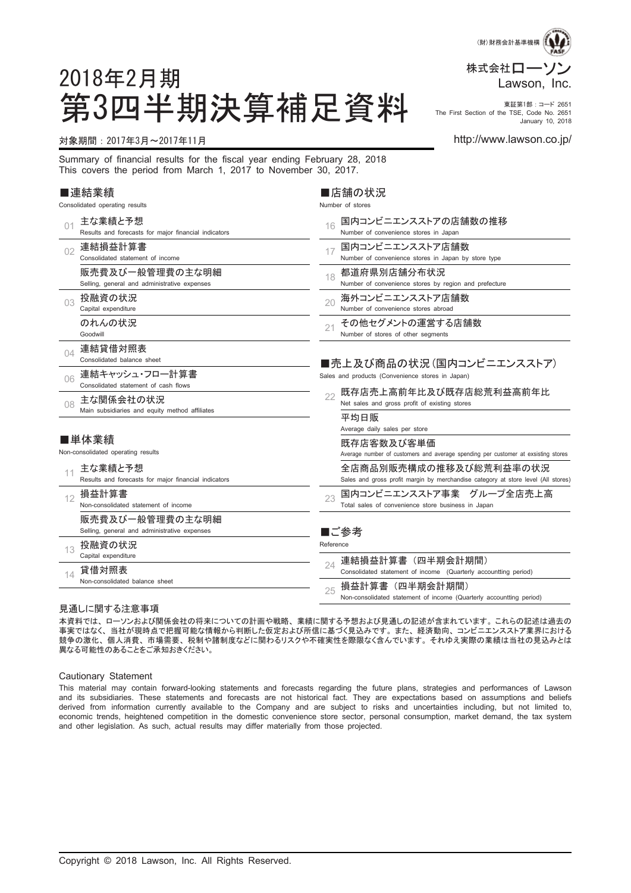

第3四半期決算補足資料 Fire First Section of the TSE, Core No. 2651 The First Section of the TSE, Code No. 2651 January 10, 2018

#### 対象期間:2017年3月~2017年11月 http://www.lawson.co.jp/

2018年2月期

Summary of financial results for the fiscal year ending February 28, 2018 This covers the period from March 1, 2017 to November 30, 2017.

#### ■連結業績

| Consolidated operating results |                                                                 |           | Number of stores                                                                                            |  |  |  |  |
|--------------------------------|-----------------------------------------------------------------|-----------|-------------------------------------------------------------------------------------------------------------|--|--|--|--|
| 01                             | 主な業績と予想<br>Results and forecasts for major financial indicators | 16        | 国内コンビニエンスストアの店舗数の推移<br>Number of convenience stores in Japan                                                |  |  |  |  |
| 02                             | 連結損益計算書<br>Consolidated statement of income                     | 17        | 国内コンビニエンスストア店舗数<br>Number of convenience stores in Japan by store type                                      |  |  |  |  |
|                                | 販売費及び一般管理費の主な明細<br>Selling, general and administrative expenses | 18        | 都道府県別店舗分布状況<br>Number of convenience stores by region and prefecture                                        |  |  |  |  |
| 03                             | 投融資の状況<br>Capital expenditure                                   | 20        | 海外コンビニエンスストア店舗数<br>Number of convenience stores abroad                                                      |  |  |  |  |
|                                | のれんの状況<br>Goodwill                                              | 21        | その他セグメントの運営する店舗数<br>Number of stores of other segments                                                      |  |  |  |  |
| 04                             | 連結貸借対照表<br>Consolidated balance sheet                           |           | ■売上及び商品の状況(国内コンビニエンスストア)                                                                                    |  |  |  |  |
| 06                             | 連結キャッシュ・フロー計算書<br>Consolidated statement of cash flows          |           | Sales and products (Convenience stores in Japan)                                                            |  |  |  |  |
| 08                             | 主な関係会社の状況                                                       | 22        | 既存店売上高前年比及び既存店総荒利益高前年比<br>Net sales and gross profit of existing stores                                     |  |  |  |  |
|                                | Main subsidiaries and equity method affiliates                  |           | 平均日販<br>Average daily sales per store                                                                       |  |  |  |  |
|                                | ■単体業績<br>Non-consolidated operating results                     |           | 既存店客数及び客単価<br>Average number of customers and average spending per customer at exsisting stores             |  |  |  |  |
| 11                             | 主な業績と予想<br>Results and forecasts for major financial indicators |           | 全店商品別販売構成の推移及び総荒利益率の状況<br>Sales and gross profit margin by merchandise category at store level (All stores) |  |  |  |  |
| 12                             | 損益計算書<br>Non-consolidated statement of income                   | 23        | 国内コンビニエンスストア事業 グループ全店売上高<br>Total sales of convenience store business in Japan                              |  |  |  |  |
|                                | 販売費及び一般管理費の主な明細<br>Selling, general and administrative expenses |           | ■ご参考                                                                                                        |  |  |  |  |
| 13                             | 投融資の状況<br>Capital expenditure                                   | Reference | 連結損益計算書(四半期会計期間)                                                                                            |  |  |  |  |
| 14                             | 貸借対照表<br>Non-consolidated balance sheet                         | 24        | Consolidated statement of income (Quarterly accountting period)                                             |  |  |  |  |
|                                |                                                                 | 25        | 損益計算書(四半期会計期間)<br>Non-consolidated statement of income (Quarterly accountting period)                       |  |  |  |  |

■店舗の状況

#### 見通しに関する注意事項

本資料では、ローソンおよび関係会社の将来についての計画や戦略、業績に関する予想および見通しの記述が含まれています。これらの記述は過去の 事実ではなく、当社が現時点で把握可能な情報から判断した仮定および所信に基づく見込みです。また、経済動向、コンビニエンスストア業界における 競争の激化、個人消費、市場需要、税制や諸制度などに関わるリスクや不確実性を際限なく含んでいます。それゆえ実際の業績は当社の見込みとは 異なる可能性のあることをご承知おきください。

Cautionary Statement

This material may contain forward-looking statements and forecasts regarding the future plans, strategies and performances of Lawson and its subsidiaries. These statements and forecasts are not historical fact. They are expectations based on assumptions and beliefs derived from information currently available to the Company and are subject to risks and uncertainties including, but not limited to, economic trends, heightened competition in the domestic convenience store sector, personal consumption, market demand, the tax system and other legislation. As such, actual results may differ materially from those projected.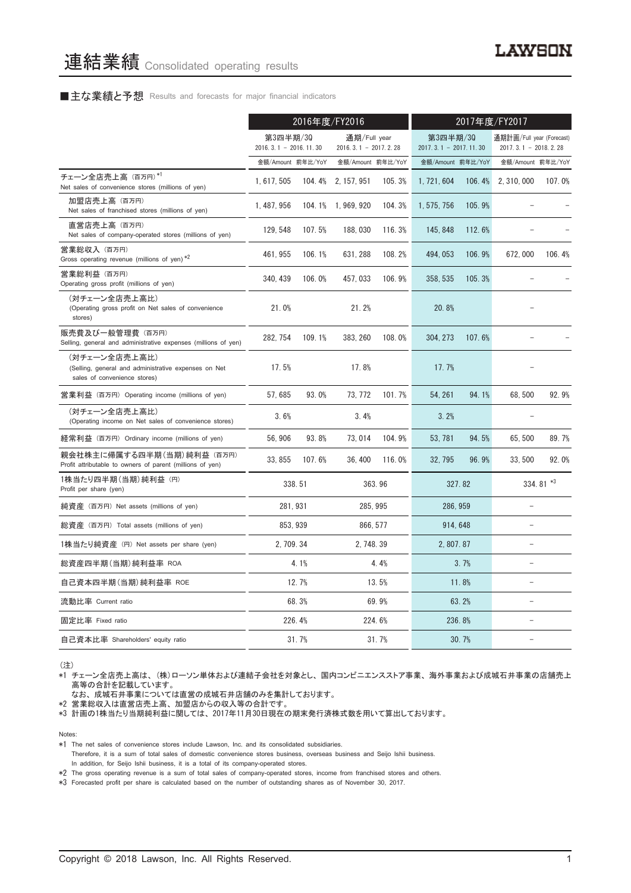#### ■主な業績と予想 Results and forecasts for major financial indicators

|                                                                                                       |                                     | 2016年度/FY2016 |                                        |          |                                     |        | 2017年度/FY2017                                       |             |
|-------------------------------------------------------------------------------------------------------|-------------------------------------|---------------|----------------------------------------|----------|-------------------------------------|--------|-----------------------------------------------------|-------------|
|                                                                                                       | 第3四半期/30<br>$2016.3.1 - 2016.11.30$ |               | 通期/Full year<br>$2016.3.1 - 2017.2.28$ |          | 第3四半期/30<br>$2017.3.1 - 2017.11.30$ |        | 通期計画/Full year (Forecast)<br>$2017.3.1 - 2018.2.28$ |             |
|                                                                                                       | 金額/Amount 前年比/YoY                   |               | 金額/Amount 前年比/YoY                      |          | 金額/Amount 前年比/YoY                   |        | 金額/Amount 前年比/YoY                                   |             |
| チェーン全店売上高 (百万円)*1<br>Net sales of convenience stores (millions of yen)                                | 1, 617, 505                         | 104.4%        | 2, 157, 951                            | 105.3%   | 1, 721, 604                         | 106.4% | 2, 310, 000                                         | 107.0%      |
| 加盟店売上高 (百万円)<br>Net sales of franchised stores (millions of yen)                                      | 1, 487, 956                         |               | 104.1% 1,969,920                       | 104.3%   | 1, 575, 756                         | 105.9% |                                                     |             |
| 直営店売上高(百万円)<br>Net sales of company-operated stores (millions of yen)                                 | 129, 548                            | 107.5%        | 188,030                                | 116.3%   | 145, 848                            | 112.6% |                                                     |             |
| 営業総収入 (百万円)<br>Gross operating revenue (millions of yen) *2                                           | 461, 955                            | 106.1%        | 631, 288                               | 108.2%   | 494, 053                            | 106.9% | 672,000                                             | 106.4%      |
| 営業総利益 (百万円)<br>Operating gross profit (millions of yen)                                               | 340, 439                            | 106.0%        | 457, 033                               | 106.9%   | 358, 535                            | 105.3% |                                                     |             |
| (対チェーン全店売上高比)<br>(Operating gross profit on Net sales of convenience<br>stores)                       | 21.0%                               |               | 21.2%                                  |          | 20.8%                               |        |                                                     |             |
| 販売費及び一般管理費 (百万円)<br>Selling, general and administrative expenses (millions of yen)                    | 282, 754                            | 109.1%        | 383, 260                               | 108.0%   | 304, 273                            | 107.6% |                                                     |             |
| (対チェーン全店売上高比)<br>(Selling, general and administrative expenses on Net<br>sales of convenience stores) | 17.5%                               |               | 17.8%                                  |          | 17.7%                               |        |                                                     |             |
| 営業利益 (百万円) Operating income (millions of yen)                                                         | 57,685                              | 93.0%         | 73, 772                                | 101.7%   | 54, 261                             | 94.1%  | 68,500                                              | 92.9%       |
| (対チェーン全店売上高比)<br>(Operating income on Net sales of convenience stores)                                | 3.6%                                |               | 3.4%                                   |          | 3.2%                                |        |                                                     |             |
| 経常利益 (百万円) Ordinary income (millions of yen)                                                          | 56,906                              | 93.8%         | 73, 014                                | 104.9%   | 53, 781                             | 94.5%  | 65, 500                                             | 89.7%       |
| 親会社株主に帰属する四半期 (当期) 純利益 (百万円)<br>Profit attributable to owners of parent (millions of yen)             | 33, 855                             | 107.6%        | 36, 400                                | 116.0%   | 32, 795                             | 96.9%  | 33,500                                              | 92.0%       |
| 1株当たり四半期 (当期) 純利益 (円)<br>Profit per share (yen)                                                       |                                     | 338.51        |                                        | 363.96   |                                     | 327.82 |                                                     | 334.81 $*3$ |
| 純資産 (百万円) Net assets (millions of yen)                                                                | 281, 931                            |               |                                        | 285, 995 | 286, 959                            |        |                                                     |             |
| 総資産(百万円)Total assets (millions of yen)                                                                |                                     | 853.939       |                                        | 866, 577 | 914, 648                            |        | $\equiv$                                            |             |
| 1株当たり純資産 (円) Net assets per share (yen)                                                               | 2.709.34                            |               | 2.748.39                               |          | 2, 807.87                           |        | $\overline{a}$                                      |             |
| 総資産四半期(当期)純利益率 ROA                                                                                    |                                     | 4.1%          |                                        | 4.4%     |                                     | 3.7%   |                                                     |             |
| 自己資本四半期(当期) 純利益率 ROE                                                                                  |                                     | 12.7%         |                                        | 13.5%    |                                     | 11.8%  | $\equiv$                                            |             |
| 流動比率 Current ratio                                                                                    |                                     | 68.3%         |                                        | 69.9%    |                                     | 63.2%  |                                                     |             |
| 固定比率 Fixed ratio                                                                                      |                                     | 226.4%        |                                        | 224.6%   |                                     | 236.8% | L.                                                  |             |
| 自己資本比率 Shareholders' equity ratio                                                                     |                                     | 31.7%         |                                        | 31.7%    |                                     | 30.7%  |                                                     |             |

(注)

\*1 チェーン全店売上高は、(株)ローソン単体および連結子会社を対象とし、国内コンビニエンスストア事業、海外事業および成城石井事業の店舗売上 高等の合計を記載しています。

なお、成城石井事業については直営の成城石井店舗のみを集計しております。

\*2 営業総収入は直営店売上高、加盟店からの収入等の合計です。

\*3 計画の1株当たり当期純利益に関しては、2017年11月30日現在の期末発行済株式数を用いて算出しております。

Notes:

\*1 The net sales of convenience stores include Lawson, Inc. and its consolidated subsidiaries.

Therefore, it is a sum of total sales of domestic convenience stores business, overseas business and Seijo Ishii business. In addition, for Seijo Ishii business, it is a total of its company-operated stores.

\*2 The gross operating revenue is a sum of total sales of company-operated stores, income from franchised stores and others.

\*3 Forecasted profit per share is calculated based on the number of outstanding shares as of November 30, 2017.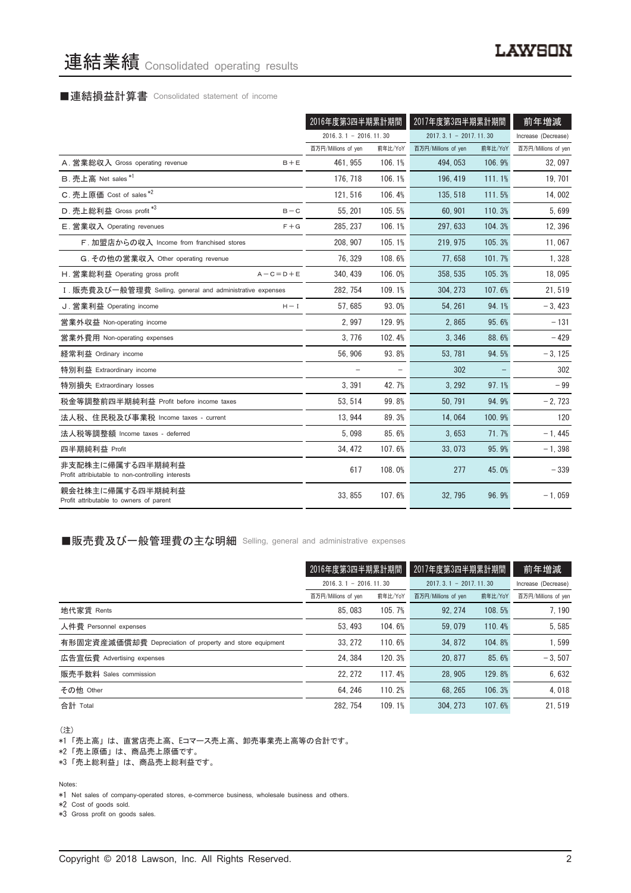# 連結業績 Consolidated operating results

#### ■連結損益計算書 Consolidated statement of income

|                                                                       | 2016年度第3四半期累計期間          |         | 2017年度第3四半期累計期間         |         | 前年増減                |
|-----------------------------------------------------------------------|--------------------------|---------|-------------------------|---------|---------------------|
|                                                                       | $2016.3.1 - 2016.11.30$  |         | $2017.3.1 - 2017.11.30$ |         | Increase (Decrease) |
|                                                                       | 百万円/Millions of yen      | 前年比/YoY | 百万円/Millions of yen     | 前年比/YoY | 百万円/Millions of yen |
| A. 営業総収入 Gross operating revenue<br>$B + E$                           | 461.955                  | 106.1%  | 494, 053                | 106.9%  | 32,097              |
| B. 売上高 Net sales *1                                                   | 176.718                  | 106.1%  | 196, 419                | 111.1%  | 19, 701             |
| C. 売上原価 Cost of sales*2                                               | 121.516                  | 106.4%  | 135, 518                | 111.5%  | 14,002              |
| D. 売上総利益 Gross profit *3<br>$B - C$                                   | 55.201                   | 105.5%  | 60.901                  | 110.3%  | 5,699               |
| $F + G$<br>E. 営業収入 Operating revenues                                 | 285, 237                 | 106.1%  | 297, 633                | 104.3%  | 12,396              |
| F. 加盟店からの収入 Income from franchised stores                             | 208, 907                 | 105.1%  | 219, 975                | 105.3%  | 11,067              |
| G. その他の営業収入 Other operating revenue                                   | 76, 329                  | 108.6%  | 77,658                  | 101.7%  | 1,328               |
| H. 営業総利益 Operating gross profit<br>$A - C = D + E$                    | 340, 439                 | 106.0%  | 358, 535                | 105.3%  | 18,095              |
| I. 販売費及び一般管理費 Selling, general and administrative expenses            | 282, 754                 | 109.1%  | 304, 273                | 107.6%  | 21,519              |
| J. 営業利益 Operating income<br>$H - I$                                   | 57.685                   | 93.0%   | 54, 261                 | 94.1%   | $-3,423$            |
| 営業外収益 Non-operating income                                            | 2,997                    | 129.9%  | 2,865                   | 95.6%   | $-131$              |
| 営業外費用 Non-operating expenses                                          | 3,776                    | 102.4%  | 3,346                   | 88.6%   | $-429$              |
| 経常利益 Ordinary income                                                  | 56,906                   | 93.8%   | 53, 781                 | 94.5%   | $-3, 125$           |
| 特別利益 Extraordinary income                                             | $\overline{\phantom{0}}$ |         | 302                     |         | 302                 |
| 特別損失 Extraordinary losses                                             | 3,391                    | 42.7%   | 3, 292                  | 97.1%   | $-99$               |
| 税金等調整前四半期純利益 Profit before income taxes                               | 53, 514                  | 99.8%   | 50, 791                 | 94.9%   | $-2, 723$           |
| 法人税、住民税及び事業税 Income taxes - current                                   | 13,944                   | 89.3%   | 14,064                  | 100.9%  | 120                 |
| 法人税等調整額 Income taxes - deferred                                       | 5,098                    | 85.6%   | 3,653                   | 71.7%   | $-1,445$            |
| 四半期純利益 Profit                                                         | 34.472                   | 107.6%  | 33,073                  | 95.9%   | $-1,398$            |
| 非支配株主に帰属する四半期純利益<br>Profit attribiutable to non-controlling interests | 617                      | 108.0%  | 277                     | 45.0%   | $-339$              |
| 親会社株主に帰属する四半期純利益<br>Profit attributable to owners of parent           | 33.855                   | 107.6%  | 32.795                  | 96.9%   | $-1,059$            |

#### ■販売費及び一般管理費の主な明細 Selling, general and administrative expenses

|                                                          |                             | 2016年度第3四半期累計期間 |                             | 2017年度第3四半期累計期間 |                     |
|----------------------------------------------------------|-----------------------------|-----------------|-----------------------------|-----------------|---------------------|
|                                                          | $2016, 3, 1 - 2016, 11, 30$ |                 | $2017, 3, 1 - 2017, 11, 30$ |                 | Increase (Decrease) |
|                                                          | 百万円/Millions of yen         | 前年比/YoY         | 百万円/Millions of yen         | 前年比/YoY         | 百万円/Millions of yen |
| 地代家賃 Rents                                               | 85,083                      | 105.7%          | 92.274                      | 108.5%          | 7.190               |
| 人件費 Personnel expenses                                   | 53.493                      | 104.6%          | 59.079                      | 110.4%          | 5,585               |
| 有形固定資産減価償却費 Depreciation of property and store equipment | 33.272                      | 110.6%          | 34.872                      | 104.8%          | 1,599               |
| 広告宣伝費 Advertising expenses                               | 24.384                      | 120.3%          | 20, 877                     | 85.6%           | $-3.507$            |
| 販売手数料 Sales commission                                   | 22.272                      | 117.4%          | 28.905                      | 129.8%          | 6,632               |
| その他 Other                                                | 64.246                      | 110.2%          | 68.265                      | 106.3%          | 4.018               |
| 合計 Total                                                 | 282.754                     | 109.1%          | 304.273                     | 107.6%          | 21.519              |

(注)

\*1「売上高」は、直営店売上高、Eコマース売上高、卸売事業売上高等の合計です。

\*2「売上原価」は、商品売上原価です。

\*3「売上総利益」は、商品売上総利益です。

Notes:

\*1 Net sales of company-operated stores, e-commerce business, wholesale business and others.

\*2 Cost of goods sold.

\*3 Gross profit on goods sales.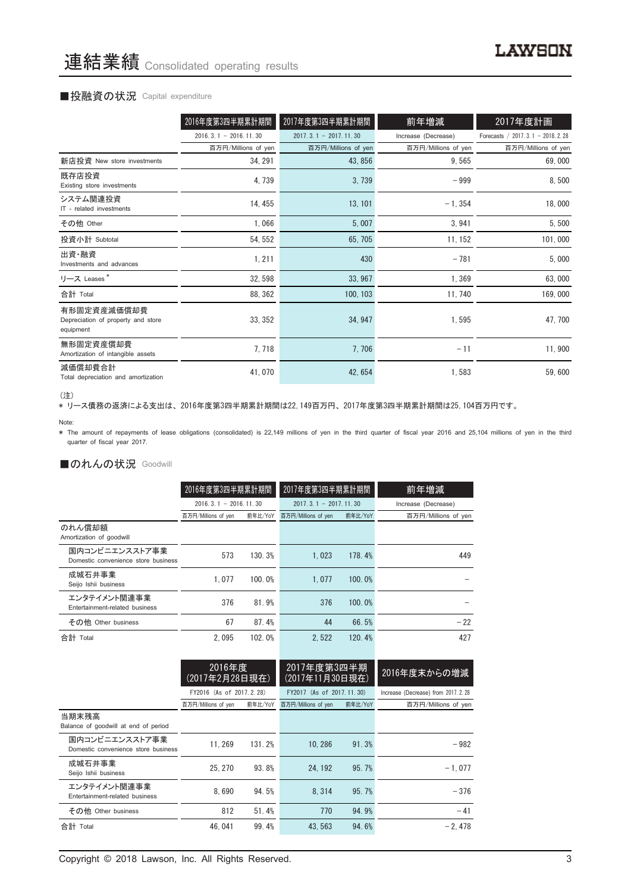#### ■投融資の状況 Capital expenditure

|                                                                | 2016年度第3四半期累計期間         | 2017年度第3四半期累計期間         | 前年増減                | 2017年度計画                           |
|----------------------------------------------------------------|-------------------------|-------------------------|---------------------|------------------------------------|
|                                                                | $2016.3.1 - 2016.11.30$ | $2017.3.1 - 2017.11.30$ | Increase (Decrease) | Forecasts / 2017. 3.1 - 2018. 2.28 |
|                                                                | 百万円/Millions of yen     | 百万円/Millions of yen     | 百万円/Millions of yen | 百万円/Millions of yen                |
| 新店投資 New store investments                                     | 34, 291                 | 43, 856                 | 9,565               | 69,000                             |
| 既存店投資<br>Existing store investments                            | 4,739                   | 3,739                   | $-999$              | 8,500                              |
| システム関連投資<br>IT - related investments                           | 14, 455                 | 13, 101                 | $-1, 354$           | 18,000                             |
| その他 Other                                                      | 1,066                   | 5,007                   | 3,941               | 5,500                              |
| 投資小計 Subtotal                                                  | 54, 552                 | 65, 705                 | 11, 152             | 101,000                            |
| 出資·融資<br>Investments and advances                              | 1, 211                  | 430                     | $-781$              | 5,000                              |
| リース Leases*                                                    | 32, 598                 | 33, 967                 | 1,369               | 63,000                             |
| 合計 Total                                                       | 88, 362                 | 100, 103                | 11, 740             | 169,000                            |
| 有形固定資産減価償却費<br>Depreciation of property and store<br>equipment | 33, 352                 | 34, 947                 | 1,595               | 47,700                             |
| 無形固定資産償却費<br>Amortization of intangible assets                 | 7,718                   | 7,706                   | $-11$               | 11,900                             |
| 減価償却費合計<br>Total depreciation and amortization                 | 41,070                  | 42, 654                 | 1,583               | 59,600                             |

<sup>(</sup>注)

、----<br>\* リース債務の返済による支出は、2016年度第3四半期累計期間は22,149百万円、2017年度第3四半期累計期間は25,104百万円です。

\* The amount of repayments of lease obligations (consolidated) is 22,149 millions of yen in the third quarter of fiscal year 2016 and 25,104 millions of yen in the third quarter of fiscal year 2017.

#### ■のれんの状況 Goodwill

|                                                       | 2016年度第3四半期累計期間             |         | 2017年度第3四半期累計期間         |         | 前年増減                |
|-------------------------------------------------------|-----------------------------|---------|-------------------------|---------|---------------------|
|                                                       | $2016, 3, 1 - 2016, 11, 30$ |         | $2017.3.1 - 2017.11.30$ |         | Increase (Decrease) |
|                                                       | 百万円/Millions of yen         | 前年比/YoY | 百万円/Millions of yen     | 前年比/YoY | 百万円/Millions of yen |
| のれん償却額<br>Amortization of goodwill                    |                             |         |                         |         |                     |
| 国内コンビニエンスストア事業<br>Domestic convenience store business | 573                         | 130.3%  | 1.023                   | 178.4%  | 449                 |
| 成城石井事業<br>Seijo Ishii business                        | 1.077                       | 100.0%  | 1.077                   | 100.0%  |                     |
| エンタテイメント関連事業<br>Entertainment-related business        | 376                         | 81.9%   | 376                     | 100.0%  |                     |
| その他 Other business                                    | 67                          | 87.4%   | 44                      | 66.5%   | $-22$               |
| 合計 Total                                              | 2.095                       | 102.0%  | 2.522                   | 120.4%  | 427                 |

| 2016年度<br>2017年度第3四半期<br>2016年度末からの増減<br>(2017年11月30日現在)<br><u>(2017年2月28日現在)</u><br>FY2016 (As of 2017.2.28)<br>FY2017 (As of 2017, 11, 30)<br>Increase (Decrease) from 2017. 2. 28<br>百万円/Millions of yen<br>前年比/YoY<br>百万円/Millions of yen<br>前年比/YoY<br>百万円/Millions of yen<br>当期末残高<br>Balance of goodwill at end of period<br>国内コンビニエンスストア事業<br>11.269<br>131.2%<br>10.286<br>91.3%<br>$-982$<br>Domestic convenience store business<br>成城石井事業<br>25.270<br>95.7%<br>$-1.077$<br>93.8%<br>24, 192<br>Seijo Ishii business<br>エンタテイメント関連事業<br>8.690<br>95.7%<br>94.5%<br>8.314<br>$-376$<br>Entertainment-related business<br>770<br>94.9%<br>812<br>51.4%<br>$-41$<br>その他 Other business<br>合計 Total<br>$-2.478$<br>46.041<br>99.4%<br>43.563<br>94.6% |  |  |  |  |  |
|--------------------------------------------------------------------------------------------------------------------------------------------------------------------------------------------------------------------------------------------------------------------------------------------------------------------------------------------------------------------------------------------------------------------------------------------------------------------------------------------------------------------------------------------------------------------------------------------------------------------------------------------------------------------------------------------------------------------------------------------------------------|--|--|--|--|--|
|                                                                                                                                                                                                                                                                                                                                                                                                                                                                                                                                                                                                                                                                                                                                                              |  |  |  |  |  |
|                                                                                                                                                                                                                                                                                                                                                                                                                                                                                                                                                                                                                                                                                                                                                              |  |  |  |  |  |
|                                                                                                                                                                                                                                                                                                                                                                                                                                                                                                                                                                                                                                                                                                                                                              |  |  |  |  |  |
|                                                                                                                                                                                                                                                                                                                                                                                                                                                                                                                                                                                                                                                                                                                                                              |  |  |  |  |  |
|                                                                                                                                                                                                                                                                                                                                                                                                                                                                                                                                                                                                                                                                                                                                                              |  |  |  |  |  |
|                                                                                                                                                                                                                                                                                                                                                                                                                                                                                                                                                                                                                                                                                                                                                              |  |  |  |  |  |
|                                                                                                                                                                                                                                                                                                                                                                                                                                                                                                                                                                                                                                                                                                                                                              |  |  |  |  |  |
|                                                                                                                                                                                                                                                                                                                                                                                                                                                                                                                                                                                                                                                                                                                                                              |  |  |  |  |  |
|                                                                                                                                                                                                                                                                                                                                                                                                                                                                                                                                                                                                                                                                                                                                                              |  |  |  |  |  |

Copyright © 2018 Lawson, Inc. All Rights Reserved. 3

Note: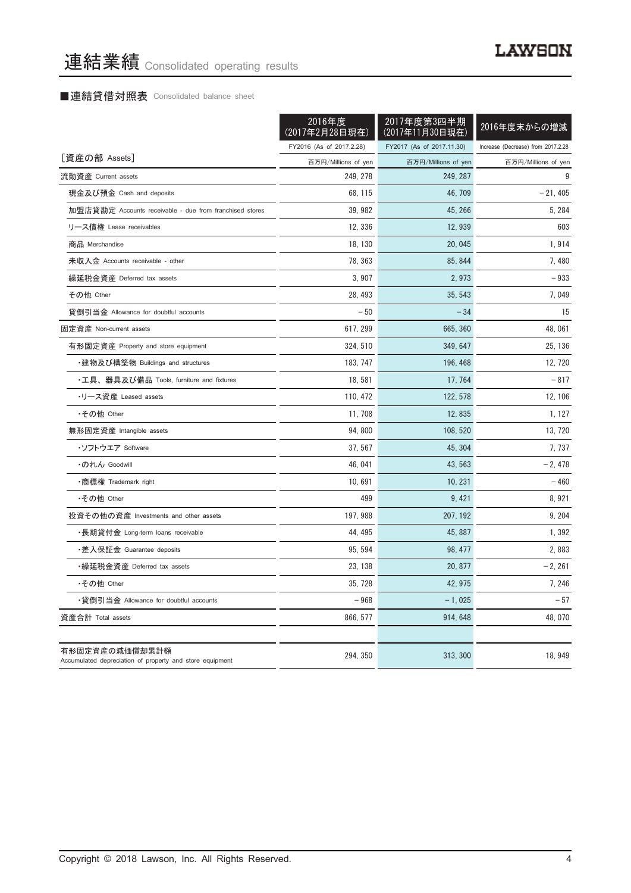# ■連結貸借対照表 Consolidated balance sheet

|                                                                            | 2016年度<br>(2017年2月28日現在) | 2017年度第3四半期<br>(2017年11月30日現在) | 2016年度末からの増減                       |
|----------------------------------------------------------------------------|--------------------------|--------------------------------|------------------------------------|
|                                                                            | FY2016 (As of 2017.2.28) | FY2017 (As of 2017.11.30)      | Increase (Decrease) from 2017.2.28 |
| [資産の部 Assets]                                                              | 百万円/Millions of yen      | 百万円/Millions of yen            | 百万円/Millions of yen                |
| 流動資産 Current assets                                                        | 249, 278                 | 249, 287                       | 9                                  |
| 現金及び預金 Cash and deposits                                                   | 68, 115                  | 46.709                         | $-21,405$                          |
| 加盟店貸勘定 Accounts receivable - due from franchised stores                    | 39, 982                  | 45, 266                        | 5, 284                             |
| リース債権 Lease receivables                                                    | 12, 336                  | 12, 939                        | 603                                |
| 商品 Merchandise                                                             | 18, 130                  | 20, 045                        | 1,914                              |
| 未収入金 Accounts receivable - other                                           | 78, 363                  | 85, 844                        | 7,480                              |
| 繰延税金資産 Deferred tax assets                                                 | 3,907                    | 2,973                          | $-933$                             |
| その他 Other                                                                  | 28, 493                  | 35, 543                        | 7,049                              |
| 貸倒引当金 Allowance for doubtful accounts                                      | $-50$                    | $-34$                          | 15                                 |
| 固定資産 Non-current assets                                                    | 617, 299                 | 665, 360                       | 48, 061                            |
| 有形固定資産 Property and store equipment                                        | 324, 510                 | 349, 647                       | 25, 136                            |
| ・建物及び構築物 Buildings and structures                                          | 183, 747                 | 196, 468                       | 12, 720                            |
| •工具、器具及び備品 Tools, furniture and fixtures                                   | 18, 581                  | 17, 764                        | $-817$                             |
| •リース資産 Leased assets                                                       | 110, 472                 | 122, 578                       | 12, 106                            |
| •その他 Other                                                                 | 11, 708                  | 12,835                         | 1, 127                             |
| 無形固定資産 Intangible assets                                                   | 94,800                   | 108, 520                       | 13, 720                            |
| ・ソフトウエア Software                                                           | 37, 567                  | 45, 304                        | 7,737                              |
| ・のれん Goodwill                                                              | 46, 041                  | 43, 563                        | $-2,478$                           |
| ・商標権 Trademark right                                                       | 10.691                   | 10.231                         | $-460$                             |
| •その他 Other                                                                 | 499                      | 9, 421                         | 8,921                              |
| 投資その他の資産 Investments and other assets                                      | 197, 988                 | 207, 192                       | 9, 204                             |
| ・長期貸付金 Long-term loans receivable                                          | 44, 495                  | 45, 887                        | 1,392                              |
| ・差入保証金 Guarantee deposits                                                  | 95, 594                  | 98, 477                        | 2,883                              |
| ・繰延税金資産 Deferred tax assets                                                | 23, 138                  | 20, 877                        | $-2, 261$                          |
| •その他 Other                                                                 | 35.728                   | 42, 975                        | 7, 246                             |
| •貸倒引当金 Allowance for doubtful accounts                                     | $-968$                   | $-1,025$                       | $-57$                              |
| 資産合計 Total assets                                                          | 866, 577                 | 914, 648                       | 48,070                             |
| 有形固定資産の減価償却累計額<br>Accumulated depreciation of property and store equipment | 294, 350                 | 313, 300                       | 18, 949                            |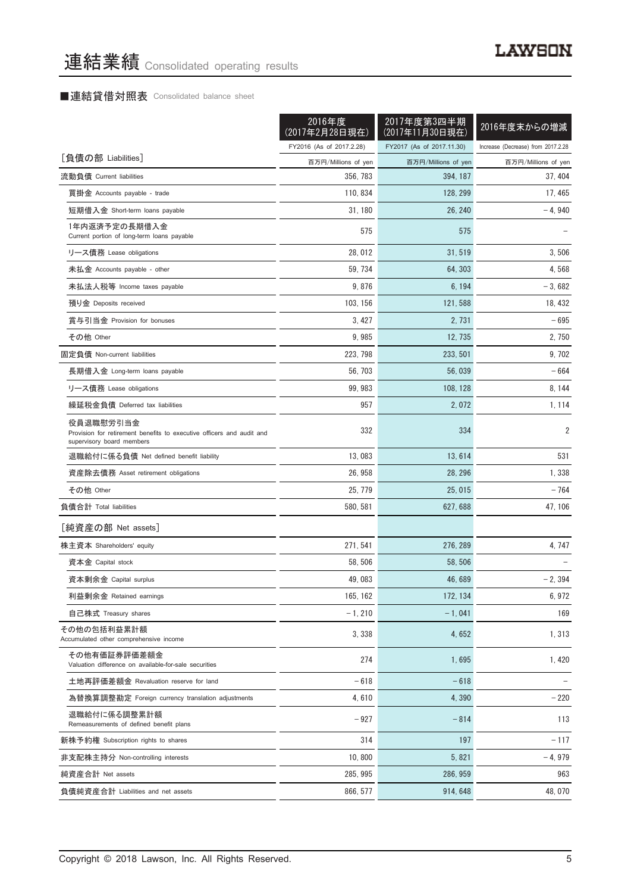### ■連結貸借対照表 Consolidated balance sheet

|                                                                                                                 | 2016年度<br>(2017年2月28日現在) | 2017年度第3四半期<br>(2017年11月30日現在) | 2016年度末からの増減                       |
|-----------------------------------------------------------------------------------------------------------------|--------------------------|--------------------------------|------------------------------------|
|                                                                                                                 | FY2016 (As of 2017.2.28) | FY2017 (As of 2017.11.30)      | Increase (Decrease) from 2017.2.28 |
| [負債の部 Liabilities]                                                                                              | 百万円/Millions of yen      | 百万円/Millions of yen            | 百万円/Millions of yen                |
| 流動負債 Current liabilities                                                                                        | 356, 783                 | 394, 187                       | 37, 404                            |
| 買掛金 Accounts payable - trade                                                                                    | 110, 834                 | 128, 299                       | 17, 465                            |
| 短期借入金 Short-term loans payable                                                                                  | 31, 180                  | 26, 240                        | $-4,940$                           |
| 1年内返済予定の長期借入金<br>Current portion of long-term loans payable                                                     | 575                      | 575                            |                                    |
| リース債務 Lease obligations                                                                                         | 28,012                   | 31,519                         | 3,506                              |
| 未払金 Accounts payable - other                                                                                    | 59, 734                  | 64, 303                        | 4,568                              |
| 未払法人税等 Income taxes payable                                                                                     | 9,876                    | 6, 194                         | $-3,682$                           |
| 預り金 Deposits received                                                                                           | 103, 156                 | 121, 588                       | 18, 432                            |
| 賞与引当金 Provision for bonuses                                                                                     | 3, 427                   | 2.731                          | $-695$                             |
| その他 Other                                                                                                       | 9,985                    | 12, 735                        | 2, 750                             |
| 固定負債 Non-current liabilities                                                                                    | 223, 798                 | 233, 501                       | 9, 702                             |
| 長期借入金 Long-term loans payable                                                                                   | 56, 703                  | 56,039                         | $-664$                             |
| リース債務 Lease obligations                                                                                         | 99, 983                  | 108, 128                       | 8, 144                             |
| 繰延税金負債 Deferred tax liabilities                                                                                 | 957                      | 2,072                          | 1, 114                             |
| 役員退職慰労引当金<br>Provision for retirement benefits to executive officers and audit and<br>supervisory board members | 332                      | 334                            | 2                                  |
| 退職給付に係る負債 Net defined benefit liability                                                                         | 13,083                   | 13,614                         | 531                                |
| 資産除去債務 Asset retirement obligations                                                                             | 26, 958                  | 28, 296                        | 1,338                              |
| その他 Other                                                                                                       | 25, 779                  | 25, 015                        | $-764$                             |
| 負債合計 Total liabilities                                                                                          | 580, 581                 | 627, 688                       | 47, 106                            |
| [純資産の部 Net assets]                                                                                              |                          |                                |                                    |
| 株主資本 Shareholders' equity                                                                                       | 271, 541                 | 276, 289                       | 4, 747                             |
| 資本金 Capital stock                                                                                               | 58, 506                  | 58.506                         |                                    |
| 資本剰余金 Capital surplus                                                                                           | 49,083                   | 46, 689                        | $-2, 394$                          |
| 利益剰余金 Retained earnings                                                                                         | 165, 162                 | 172, 134                       | 6,972                              |
| 自己株式 Treasury shares                                                                                            | $-1, 210$                | $-1,041$                       | 169                                |
| その他の包括利益累計額<br>Accumulated other comprehensive income                                                           | 3,338                    | 4,652                          | 1,313                              |
| その他有価証券評価差額金<br>Valuation difference on available-for-sale securities                                           | 274                      | 1,695                          | 1,420                              |
| 土地再評価差額金 Revaluation reserve for land                                                                           | $-618$                   | $-618$                         |                                    |
| 為替換算調整勘定 Foreign currency translation adjustments                                                               | 4,610                    | 4,390                          | $-220$                             |
| 退職給付に係る調整累計額<br>Remeasurements of defined benefit plans                                                         | $-927$                   | $-814$                         | 113                                |
| 新株予約権 Subscription rights to shares                                                                             | 314                      | 197                            | $-117$                             |
| 非支配株主持分 Non-controlling interests                                                                               | 10,800                   | 5, 821                         | $-4,979$                           |
| 純資産合計 Net assets                                                                                                | 285, 995                 | 286, 959                       | 963                                |
| 負債純資産合計 Liabilities and net assets                                                                              | 866, 577                 | 914, 648                       | 48,070                             |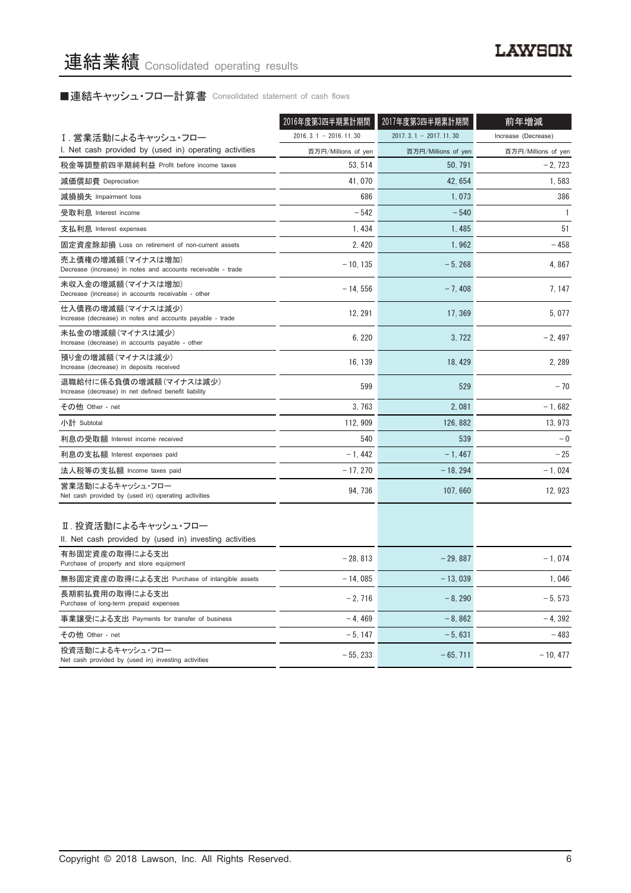■連結キャッシュ・フロー計算書 Consolidated statement of cash flows

|                                                                                   | 2016年度第3四半期累計期間         | 2017年度第3四半期累計期間         | 前年増減                |
|-----------------------------------------------------------------------------------|-------------------------|-------------------------|---------------------|
| Ⅰ.営業活動によるキャッシュ・フロー                                                                | $2016.3.1 - 2016.11.30$ | $2017.3.1 - 2017.11.30$ | Increase (Decrease) |
| I. Net cash provided by (used in) operating activities                            | 百万円/Millions of yen     | 百万円/Millions of yen     | 百万円/Millions of yen |
| 税金等調整前四半期純利益 Profit before income taxes                                           | 53, 514                 | 50, 791                 | $-2,723$            |
| 減価償却費 Depreciation                                                                | 41,070                  | 42, 654                 | 1,583               |
| 減損損失 Impairment loss                                                              | 686                     | 1.073                   | 386                 |
| 受取利息 Interest income                                                              | $-542$                  | $-540$                  | $\mathbf{1}$        |
| 支払利息 Interest expenses                                                            | 1,434                   | 1,485                   | 51                  |
| 固定資産除却損 Loss on retirement of non-current assets                                  | 2, 420                  | 1,962                   | $-458$              |
| 売上債権の増減額(マイナスは増加)<br>Decrease (increase) in notes and accounts receivable - trade | $-10, 135$              | $-5,268$                | 4,867               |
| 未収入金の増減額 (マイナスは増加)<br>Decrease (increase) in accounts receivable - other          | $-14,556$               | $-7,408$                | 7, 147              |
| 仕入債務の増減額(マイナスは減少)<br>Increase (decrease) in notes and accounts payable - trade    | 12, 291                 | 17, 369                 | 5,077               |
| 未払金の増減額(マイナスは減少)<br>Increase (decrease) in accounts payable - other               | 6, 220                  | 3, 722                  | $-2,497$            |
| 預り金の増減額(マイナスは減少)<br>Increase (decrease) in deposits received                      | 16, 139                 | 18, 429                 | 2, 289              |
| 退職給付に係る負債の増減額(マイナスは減少)<br>Increase (decrease) in net defined benefit liability    | 599                     | 529                     | $-70$               |
| その他 Other - net                                                                   | 3,763                   | 2,081                   | - 1, 682            |
| 小計 Subtotal                                                                       | 112.909                 | 126, 882                | 13, 973             |
| 利息の受取額 Interest income received                                                   | 540                     | 539                     | $-0$                |
| 利息の支払額 Interest expenses paid                                                     | $-1,442$                | $-1,467$                | $-25$               |
| 法人税等の支払額 Income taxes paid                                                        | $-17, 270$              | $-18, 294$              | $-1,024$            |
| 営業活動によるキャッシュ・フロー<br>Net cash provided by (used in) operating activities           | 94, 736                 | 107,660                 | 12,923              |
| Ⅱ. 投資活動によるキャッシュ・フロー<br>II. Net cash provided by (used in) investing activities    |                         |                         |                     |
| 有形固定資産の取得による支出<br>Purchase of property and store equipment                        | $-28, 813$              | $-29,887$               | $-1,074$            |
| 無形固定資産の取得による支出 Purchase of intangible assets                                      | $-14.085$               | $-13.039$               | 1,046               |
| 長期前払費用の取得による支出<br>Purchase of long-term prepaid expenses                          | $-2.716$                | $-8.290$                | $-5, 573$           |
| 事業譲受による支出 Payments for transfer of business                                       | $-4,469$                | $-8,862$                | $-4,392$            |
| その他 Other - net                                                                   | $-5, 147$               | $-5,631$                | $-483$              |
| 投資活動によるキャッシュ・フロー<br>Net cash provided by (used in) investing activities           | $-55.233$               | $-65.711$               | $-10.477$           |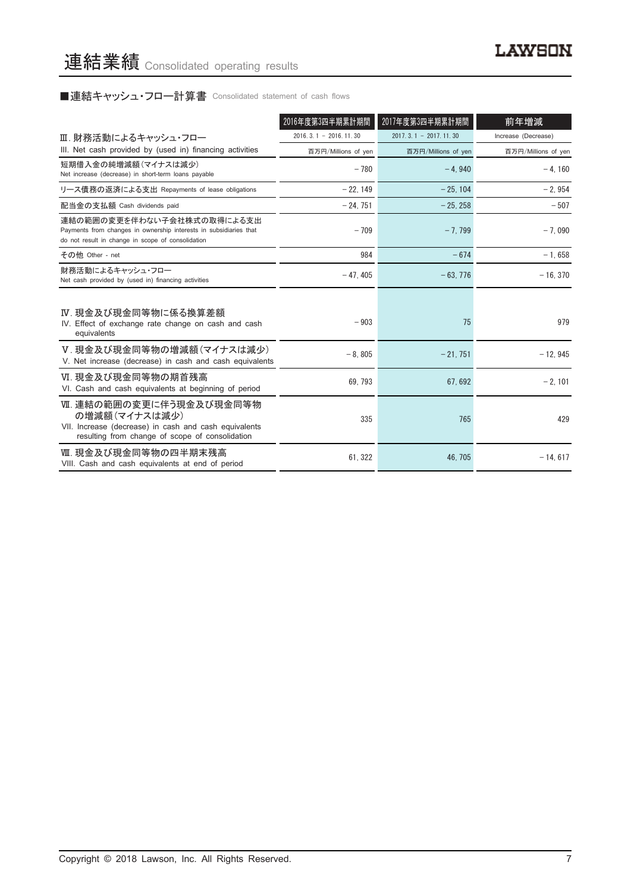# ■連結キャッシュ・フロー計算書 Consolidated statement of cash flows

|                                                                                                                                                      | 2016年度第3四半期累計期間         | 2017年度第3四半期累計期間             | 前年増減                |
|------------------------------------------------------------------------------------------------------------------------------------------------------|-------------------------|-----------------------------|---------------------|
| Ⅲ. 財務活動によるキャッシュ・フロー                                                                                                                                  | $2016.3.1 - 2016.11.30$ | $2017, 3, 1 - 2017, 11, 30$ | Increase (Decrease) |
| III. Net cash provided by (used in) financing activities                                                                                             | 百万円/Millions of yen     | 百万円/Millions of yen         | 百万円/Millions of yen |
| 短期借入金の純増減額 (マイナスは減少)<br>Net increase (decrease) in short-term loans payable                                                                          | $-780$                  | $-4.940$                    | $-4, 160$           |
| リース債務の返済による支出 Repayments of lease obligations                                                                                                        | $-22.149$               | $-25.104$                   | $-2,954$            |
| 配当金の支払額 Cash dividends paid                                                                                                                          | $-24,751$               | $-25, 258$                  | $-507$              |
| 連結の範囲の変更を伴わない子会社株式の取得による支出<br>Payments from changes in ownership interests in subsidiaries that<br>do not result in change in scope of consolidation | $-709$                  | $-7.799$                    | $-7,090$            |
| その他 Other - net                                                                                                                                      | 984                     | $-674$                      | $-1,658$            |
| 財務活動によるキャッシュ・フロー<br>Net cash provided by (used in) financing activities                                                                              | $-47, 405$              | $-63,776$                   | $-16, 370$          |
| Ⅳ. 現金及び現金同等物に係る換算差額<br>IV. Effect of exchange rate change on cash and cash<br>equivalents                                                            | $-903$                  | 75                          | 979                 |
| V. 現金及び現金同等物の増減額(マイナスは減少)<br>V. Net increase (decrease) in cash and cash equivalents                                                                 | $-8,805$                | $-21,751$                   | $-12,945$           |
| Ⅵ. 現金及び現金同等物の期首残高<br>VI. Cash and cash equivalents at beginning of period                                                                            | 69.793                  | 67.692                      | $-2.101$            |
| Ⅶ. 連結の範囲の変更に伴う現金及び現金同等物<br>の増減額(マイナスは減少)<br>VII. Increase (decrease) in cash and cash equivalents<br>resulting from change of scope of consolidation | 335                     | 765                         | 429                 |
| Ⅷ. 現金及び現金同等物の四半期末残高<br>VIII. Cash and cash equivalents at end of period                                                                              | 61, 322                 | 46, 705                     | $-14, 617$          |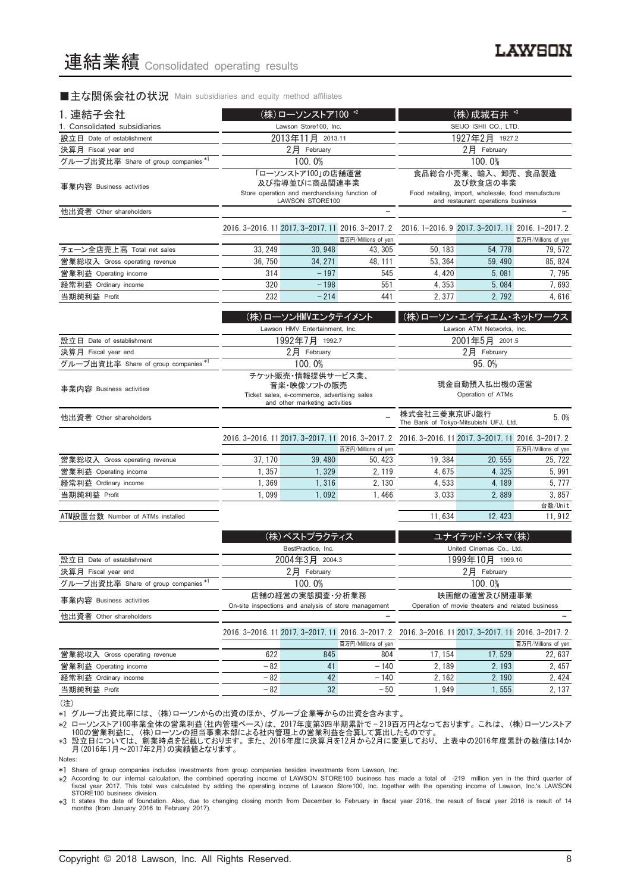#### ■主な関係会社の状況 Main subsidiaries and equity method affiliates

| 1. 連結子会社                             | (株)ローソンストア100 *2                                  |                                                                                              |                                | (株) 成城石井 *3                                                                                         |                                                                                       |                                |  |
|--------------------------------------|---------------------------------------------------|----------------------------------------------------------------------------------------------|--------------------------------|-----------------------------------------------------------------------------------------------------|---------------------------------------------------------------------------------------|--------------------------------|--|
| 1. Consolidated subsidiaries         |                                                   | Lawson Store100, Inc.                                                                        |                                | SEIJO ISHII CO., LTD.                                                                               |                                                                                       |                                |  |
| 設立日 Date of establishment            |                                                   | 2013年11月 2013.11                                                                             |                                | 1927年2月 1927.2                                                                                      |                                                                                       |                                |  |
| 決算月 Fiscal year end                  |                                                   | 2月 February                                                                                  |                                | $2$ 月 February                                                                                      |                                                                                       |                                |  |
| グループ出資比率 Share of group companies *1 |                                                   | 100.0%                                                                                       |                                |                                                                                                     | 100.0%                                                                                |                                |  |
| 事業内容 Business activities             |                                                   | 「ローソンストア100」の店舗運営<br>及び指導並びに商品関連事業<br>Store operation and merchandising function of          |                                |                                                                                                     | 食品総合小売業、輸入、卸売、食品製造<br>及び飲食店の事業<br>Food retailing, import, wholesale, food manufacture |                                |  |
|                                      |                                                   | LAWSON STORE100                                                                              |                                |                                                                                                     | and restaurant operations business                                                    |                                |  |
| 他出資者 Other shareholders              |                                                   |                                                                                              | $\overline{\phantom{0}}$       |                                                                                                     |                                                                                       |                                |  |
|                                      | 2016. 3-2016. 11 2017. 3-2017. 11 2016. 3-2017. 2 |                                                                                              | 百万円/Millions of yen            |                                                                                                     | 2016. 1-2016. 9 2017. 3-2017. 11 2016. 1-2017. 2                                      | 百万円/Millions of yen            |  |
| チェーン全店売上高 Total net sales            | 33, 249                                           | 30, 948                                                                                      | 43, 305                        | 50, 183                                                                                             | 54, 778                                                                               | 79, 572                        |  |
| 営業総収入 Gross operating revenue        | 36, 750                                           | 34, 271                                                                                      | 48, 111                        | 53, 364                                                                                             | 59, 490                                                                               | 85, 824                        |  |
| 営業利益 Operating income                | 314                                               | $-197$                                                                                       | 545                            | 4, 420                                                                                              | 5,081                                                                                 | 7,795                          |  |
| 経常利益 Ordinary income                 | 320                                               | $-198$                                                                                       | 551                            | 4,353                                                                                               | 5,084                                                                                 | 7,693                          |  |
| 当期純利益 Profit                         | 232                                               | $-214$                                                                                       | 441                            | 2,377                                                                                               | 2,792                                                                                 | 4,616                          |  |
|                                      |                                                   | (株)ローソンHMVエンタテイメント                                                                           |                                | (株)ローソン・エイティエム・ネットワークス                                                                              |                                                                                       |                                |  |
|                                      |                                                   | Lawson HMV Entertainment, Inc.                                                               |                                |                                                                                                     | Lawson ATM Networks, Inc.                                                             |                                |  |
| 設立日 Date of establishment            |                                                   | 1992年7月 1992.7                                                                               |                                |                                                                                                     | 2001年5月 2001.5                                                                        |                                |  |
| 決算月 Fiscal year end                  |                                                   | 2月 February                                                                                  |                                | 2月 February                                                                                         |                                                                                       |                                |  |
| グループ出資比率 Share of group companies *1 |                                                   | 100.0%                                                                                       |                                |                                                                                                     | 95.0%                                                                                 |                                |  |
|                                      |                                                   | チケット販売・情報提供サービス業、                                                                            |                                |                                                                                                     |                                                                                       |                                |  |
| 事業内容 Business activities             |                                                   | 音楽・映像ソフトの販売<br>Ticket sales, e-commerce, advertising sales<br>and other marketing activities |                                | 現金自動預入払出機の運営<br>Operation of ATMs                                                                   |                                                                                       |                                |  |
| 他出資者 Other shareholders              |                                                   |                                                                                              |                                | 株式会社三菱東京UFJ銀行<br>The Bank of Tokyo-Mitsubishi UFJ, Ltd.                                             |                                                                                       | 5.0%                           |  |
|                                      |                                                   |                                                                                              |                                | 2016. 3-2016. 11 2017. 3-2017. 11 2016. 3-2017. 2 2016. 3-2016. 11 2017. 3-2017. 11 2016. 3-2017. 2 |                                                                                       |                                |  |
| 営業総収入 Gross operating revenue        | 37, 170                                           | 39,480                                                                                       | 百万円/Millions of yen<br>50, 423 | 19, 384                                                                                             | 20, 555                                                                               | 百万円/Millions of yen<br>25, 722 |  |
| 営業利益 Operating income                | 1,357                                             | 1,329                                                                                        | 2, 119                         | 4,675                                                                                               | 4,325                                                                                 | 5,991                          |  |
| 経常利益 Ordinary income                 | 1,369                                             | 1,316                                                                                        | 2, 130                         | 4,533                                                                                               | 4, 189                                                                                | 5, 777                         |  |
| 当期純利益 Profit                         | 1,099                                             | 1,092                                                                                        | 1,466                          | 3,033                                                                                               | 2,889                                                                                 | 3,857                          |  |
|                                      |                                                   |                                                                                              |                                |                                                                                                     |                                                                                       | 台数/Unit                        |  |
| ATM設置台数 Number of ATMs installed     |                                                   |                                                                                              |                                | 11,634                                                                                              | 12, 423                                                                               | 11, 912                        |  |
|                                      |                                                   | (株)ベストプラクティス                                                                                 |                                |                                                                                                     | ユナイテッド・シネマ(株)                                                                         |                                |  |
|                                      |                                                   | BestPractice, Inc.                                                                           |                                |                                                                                                     | United Cinemas Co., Ltd.                                                              |                                |  |
| 設立日 Date of establishment            |                                                   | 2004年3月 2004.3                                                                               |                                |                                                                                                     | 1999年10月 1999.10                                                                      |                                |  |
| 決算月 Fiscal year end                  |                                                   | 2月 February                                                                                  |                                |                                                                                                     | 2月 February                                                                           |                                |  |
| グループ出資比率 Share of group companies    |                                                   | 100.0%                                                                                       |                                |                                                                                                     | 100.0%                                                                                |                                |  |
| 事業内容 Business activities             |                                                   | 店舗の経営の実態調査・分析業務<br>On-site inspections and analysis of store management                      |                                |                                                                                                     | 映画館の運営及び関連事業<br>Operation of movie theaters and related business                      |                                |  |
| 他出資者 Other shareholders              |                                                   |                                                                                              |                                |                                                                                                     |                                                                                       |                                |  |
|                                      | 2016. 3-2016. 11 2017. 3-2017. 11 2016. 3-2017. 2 |                                                                                              |                                |                                                                                                     | 2016. 3-2016. 11 2017. 3-2017. 11 2016. 3-2017. 2                                     |                                |  |
|                                      |                                                   |                                                                                              | 百万円/Millions of yen            |                                                                                                     |                                                                                       | 百万円/Millions of yen            |  |
| 営業総収入 Gross operating revenue        | 622                                               | 845                                                                                          | 804                            | 17, 154                                                                                             | 17,529                                                                                | 22, 637                        |  |
| 営業利益 Operating income                | $-82$<br>$-82$                                    | 41<br>42                                                                                     | $-140$                         | 2,189                                                                                               | 2, 193                                                                                | 2, 457                         |  |
| 経常利益 Ordinary income                 |                                                   |                                                                                              | - 140                          | 2, 162                                                                                              | 2,190                                                                                 | 2, 424                         |  |
| 当期純利益 Profit                         | $-82$                                             | 32                                                                                           | $-50$                          | 1,555<br>1,949<br>2, 137                                                                            |                                                                                       |                                |  |

(注)

\*1 グループ出資比率には、(株)ローソンからの出資のほか、グループ企業等からの出資を含みます。

\*2 ローソンストア100事業全体の営業利益(社内管理ベース)は、2017年度第3四半期累計で — 219百万円となっております。これは、(株)ローソンストア 100の営業利益に、(株)ローソンの担当事業本部による社内管理上の営業利益を合算して算出したものです。

\*3 設立日については、創業時点を記載しております。また、2016年度に決算月を12月から2月に変更しており、上表中の2016年度累計の数値は14か 月(2016年1月~2017年2月)の実績値となります。

Notes:

\*1 Share of group companies includes investments from group companies besides investments from Lawson, Inc.

016 According to our internal calculation, the combined operating income of LAWSON STORE100 business has made a total of -219 million yen in the third quarter of facel year 2016, the combined operating income of Lawson St

months (from January 2016 to February 2017).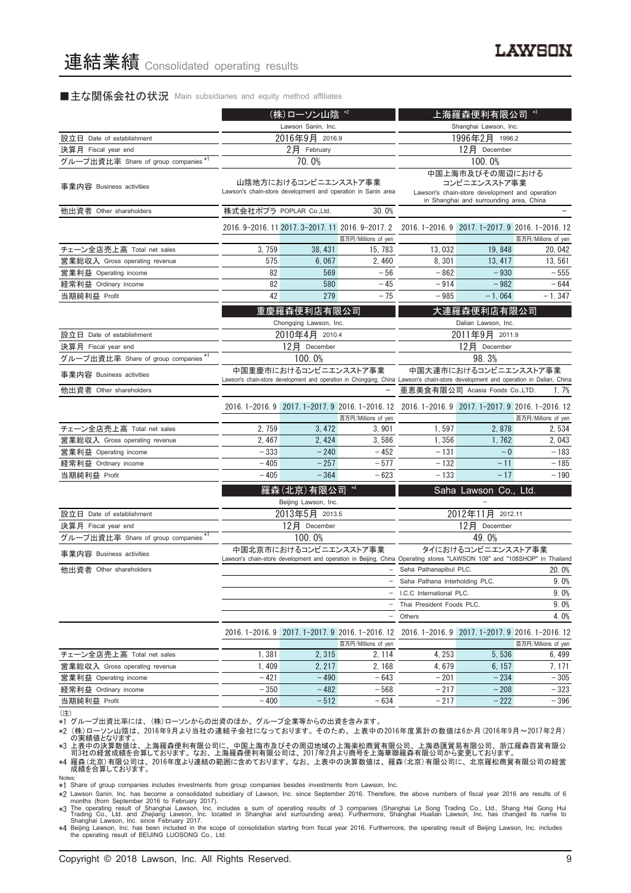#### ■主な関係会社の状況 Main subsidiaries and equity method affiliates

|                                      |                                                   | (株)ローソン山陰 *2           |                                                              |                                                                                                                                    | 上海羅森便利有限公司                                       | $*3$                           |
|--------------------------------------|---------------------------------------------------|------------------------|--------------------------------------------------------------|------------------------------------------------------------------------------------------------------------------------------------|--------------------------------------------------|--------------------------------|
|                                      |                                                   | Lawson Sanin, Inc.     |                                                              | Shanghai Lawson, Inc.                                                                                                              |                                                  |                                |
| 設立日 Date of establishment            |                                                   | 2016年9月 2016.9         |                                                              |                                                                                                                                    | 1996年2月 1996.2                                   |                                |
| 決算月 Fiscal year end                  |                                                   | 2月 February            |                                                              |                                                                                                                                    | 12月 December                                     |                                |
| グループ出資比率 Share of group companies*1  |                                                   | 70.0%                  |                                                              |                                                                                                                                    | 100.0%                                           |                                |
|                                      |                                                   | 山陰地方におけるコンビニエンスストア事業   |                                                              |                                                                                                                                    | 中国上海市及びその周辺における<br>コンビニエンスストア事業                  |                                |
| 事業内容 Business activities             |                                                   |                        | Lawson's chain-store development and operation in Sanin area |                                                                                                                                    | Lawson's chain-store development and operation   |                                |
|                                      |                                                   |                        |                                                              |                                                                                                                                    | in Shanghai and surrounding area, China          |                                |
| 他出資者 Other shareholders              | 株式会社ポプラ POPLAR Co.,Ltd.                           |                        | 30.0%                                                        |                                                                                                                                    |                                                  |                                |
|                                      | 2016. 9-2016. 11 2017. 3-2017. 11 2016. 9-2017. 2 |                        |                                                              |                                                                                                                                    | 2016. 1-2016. 9 2017. 1-2017. 9 2016. 1-2016. 12 |                                |
| チェーン全店売上高 Total net sales            | 3,759                                             | 38, 431                | 百万円/Millions of yen<br>15, 783                               | 13,032                                                                                                                             | 19,848                                           | 百万円/Millions of yen<br>20, 042 |
|                                      | 575                                               | 6,067                  | 2, 460                                                       | 8,301                                                                                                                              | 13, 417                                          |                                |
| 営業総収入 Gross operating revenue        | 82                                                |                        | $-56$                                                        |                                                                                                                                    | $-930$                                           | 13, 561                        |
| 営業利益 Operating income                | 82                                                | 569                    |                                                              | $-862$                                                                                                                             |                                                  | $-555$<br>$-644$               |
| 経常利益 Ordinary income                 | 42                                                | 580<br>279             | - 45<br>$-75$                                                | $-914$                                                                                                                             | $-982$                                           |                                |
| 当期純利益 Profit                         |                                                   |                        |                                                              | $-985$                                                                                                                             | $-1,064$                                         | $-1, 347$                      |
|                                      |                                                   | 重慶羅森便利店有限公司            |                                                              |                                                                                                                                    | 大連羅森便利店有限公司                                      |                                |
|                                      |                                                   | Chongqing Lawson, Inc. |                                                              |                                                                                                                                    | Dalian Lawson, Inc.                              |                                |
| 設立日 Date of establishment            |                                                   | 2010年4月 2010.4         |                                                              |                                                                                                                                    | 2011年9月 2011.9                                   |                                |
| 決算月 Fiscal year end                  |                                                   | 12月 December           |                                                              |                                                                                                                                    | 12月 December                                     |                                |
| グループ出資比率 Share of group companies *1 |                                                   | 100.0%                 |                                                              | 98.3%                                                                                                                              |                                                  |                                |
| 事業内容 Business activities             |                                                   | 中国重慶市におけるコンビニエンスストア事業  |                                                              | 中国大連市におけるコンビニエンスストア事業                                                                                                              |                                                  |                                |
|                                      |                                                   |                        |                                                              | Lawson's chain-store development and operation in Chongqing, China Lawson's chain-store development and operation in Dalian, China |                                                  |                                |
| 他出資者 Other shareholders              |                                                   |                        |                                                              |                                                                                                                                    | 亜恵美食有限公司 Acasia Foods Co.,LTD.                   | 1.7%                           |
|                                      |                                                   |                        |                                                              | 2016.1-2016.9 2017.1-2017.9 2016.1-2016.12 2016.1-2016.9 2017.1-2017.9 2016.1-2016.12                                              |                                                  |                                |
|                                      |                                                   |                        | 百万円/Millions of yen                                          |                                                                                                                                    |                                                  | 百万円/Millions of yen            |
| チェーン全店売上高 Total net sales            | 2,759                                             | 3, 472                 | 3,901                                                        | 1,597                                                                                                                              | 2,878                                            | 2,534                          |
| 営業総収入 Gross operating revenue        | 2, 467                                            | 2, 424                 | 3,586                                                        | 1,356                                                                                                                              | 1,762                                            | 2,043                          |
| 営業利益 Operating income                | $-333$                                            | $-240$                 | $-452$                                                       | $-131$                                                                                                                             | $-0$                                             | $-183$                         |
| 経常利益 Ordinary income                 | $-405$                                            | $-257$                 | $-577$                                                       | $-132$                                                                                                                             | $-11$                                            | $-185$                         |
| 当期純利益 Profit                         | $-405$                                            | $-364$                 | $-623$                                                       | $-133$                                                                                                                             | $-17$                                            | $-190$                         |
|                                      |                                                   | 羅森(北京)有限公司             |                                                              |                                                                                                                                    | Saha Lawson Co., Ltd.                            |                                |
|                                      |                                                   | Beijing Lawson, Inc.   |                                                              |                                                                                                                                    |                                                  |                                |
| 設立日 Date of establishment            |                                                   | 2013年5月 2013.5         |                                                              |                                                                                                                                    | 2012年11月 2012.11                                 |                                |
| 決算月 Fiscal year end                  |                                                   | 12月 December           |                                                              |                                                                                                                                    | 12月 December                                     |                                |
| グループ出資比率 Share of group companies*1  |                                                   | 100.0%                 |                                                              |                                                                                                                                    | 49.0%                                            |                                |
|                                      |                                                   | 中国北京市におけるコンビニエンスストア事業  |                                                              |                                                                                                                                    | タイにおけるコンビニエンスストア事業                               |                                |
| 事業内容 Business activities             |                                                   |                        |                                                              | Lawson's chain-store development and operation in Beijing, China Operating stores "LAWSON 108" and "108SHOP" in Thailand           |                                                  |                                |
| 他出資者 Other shareholders              |                                                   |                        |                                                              | Saha Pathanapibul PLC.                                                                                                             |                                                  | 20.0%                          |
|                                      |                                                   |                        |                                                              | - Saha Pathana Interholding PLC.                                                                                                   |                                                  | $9.0\%$                        |
|                                      |                                                   |                        |                                                              | - I.C.C International PLC.                                                                                                         |                                                  | 9.0%                           |
|                                      |                                                   |                        |                                                              | Thai President Foods PLC.                                                                                                          |                                                  | 9.0%                           |
|                                      |                                                   |                        |                                                              | - Others                                                                                                                           |                                                  | 4.0%                           |
|                                      |                                                   |                        | 2016. 1-2016. 9 2017. 1-2017. 9 2016. 1-2016. 12             |                                                                                                                                    | 2016. 1-2016. 9 2017. 1-2017. 9 2016. 1-2016. 12 |                                |
|                                      |                                                   |                        | 百万円/Millions of yen                                          |                                                                                                                                    |                                                  | 百万円/Millions of yen            |
| チェーン全店売上高 Total net sales            | 1,381                                             | 2,315                  | 2, 114                                                       | 4, 253                                                                                                                             | 5,536                                            | 6, 499                         |
| 営業総収入 Gross operating revenue        | 1,409                                             | 2, 217                 | 2, 168                                                       | 4,679                                                                                                                              | 6, 157                                           | 7, 171                         |
| 営業利益 Operating income                | $-421$                                            | $-490$                 | $-643$                                                       | $-201$                                                                                                                             | $-234$                                           | $-305$                         |
| 経常利益 Ordinary income                 | $-350$                                            | $-482$                 | $-568$                                                       | $-217$                                                                                                                             | $-208$                                           | $-323$                         |
| 当期純利益 Profit                         | $-400$                                            | $-512$                 | $-634$                                                       | $-217$                                                                                                                             | $-222$                                           | $-396$                         |

<sup>(</sup>注)

、....<br>\*1 グループ出資比率には、(株)ローソンからの出資のほか、グループ企業等からの出資を含みます。

\*2(株)ローソン山陰は、2016年9月より当社の連結子会社になっております。そのため、上表中の2016年度累計の数値は6か月(2016年9月~2017年2月)<br>- の実績値となります。<br>\*3 上表中の決算数値は、上海羅森便利有限公司に、中国上海市及びその周辺地域の上海楽松商貿有限公司、上海恭匯貿易有限公司、浙江羅森百貨有限公<br>- 司3社の経営成績を合算しております。なお、上海羅森便利有限公司は、2017年2月より商号を上海華聯羅森有限

\*4 羅森(北京)有限公司は、2016年度より連結の範囲に含めております。なお、上表中の決算数値は、羅森(北京)有限公司に、北京羅松商貿有限公司の経営 成績を合算しております。

Notes:

\*1 Share of group companies includes investments from group companies besides investments from Lawson, Inc.

%2 Lawson Sanin, Inc. has become a consolidated subsidiary of Lawson, Inc. since September 2016. Therefore, the above numbers of fiscal year 2016 are results of 6 months (from September 2016) to February 2017.<br>
\*3 The oper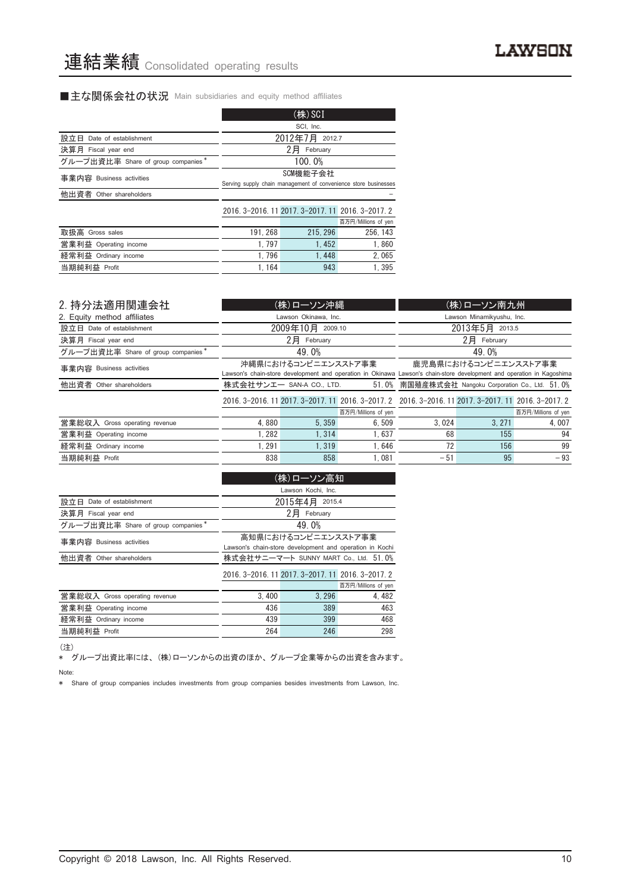### ■主な関係会社の状況 Main subsidiaries and equity method affiliates

|                                    |                                                                             | $(\n#)$ SCI                                       |                     |  |  |
|------------------------------------|-----------------------------------------------------------------------------|---------------------------------------------------|---------------------|--|--|
|                                    |                                                                             | SCI, Inc.                                         |                     |  |  |
| 設立日<br>Date of establishment       | 2012年7月 2012.7                                                              |                                                   |                     |  |  |
| 決算月 Fiscal year end                |                                                                             | 2月<br>February                                    |                     |  |  |
| グループ出資比率 Share of group companies* |                                                                             | 100.0%                                            |                     |  |  |
| 事業内容 Business activities           | SCM機能子会社<br>Serving supply chain management of convenience store businesses |                                                   |                     |  |  |
| 他出資者 Other shareholders            |                                                                             |                                                   |                     |  |  |
|                                    |                                                                             | 2016. 3-2016. 11 2017. 3-2017. 11 2016. 3-2017. 2 |                     |  |  |
|                                    |                                                                             |                                                   | 百万円/Millions of yen |  |  |
| 取扱高 Gross sales                    | 191.268                                                                     | 215.296                                           | 256, 143            |  |  |
| 営業利益 Operating income              | 1.797                                                                       | 1.452                                             | 1,860               |  |  |
| 経常利益 Ordinary income               | 1.796                                                                       | 1.448                                             | 2.065               |  |  |
| 当期純利益 Profit                       | 1.164                                                                       | 943                                               | 1.395               |  |  |

| 2. 持分法適用関連会社                       |                                                                                                                                              | (株)ローソン沖縄                |                                                                                                     | (株)ローソン南九州                                         |                           |                      |  |  |
|------------------------------------|----------------------------------------------------------------------------------------------------------------------------------------------|--------------------------|-----------------------------------------------------------------------------------------------------|----------------------------------------------------|---------------------------|----------------------|--|--|
| 2. Equity method affiliates        |                                                                                                                                              | Lawson Okinawa, Inc.     |                                                                                                     |                                                    | Lawson Minamikyushu, Inc. |                      |  |  |
| 設立日 Date of establishment          |                                                                                                                                              | 2009年10月 2009.10         |                                                                                                     |                                                    | 2013年5月 2013.5            |                      |  |  |
| 決算月 Fiscal year end                |                                                                                                                                              | 2日 February              |                                                                                                     | 2日 February                                        |                           |                      |  |  |
| グループ出資比率 Share of group companies* |                                                                                                                                              | 49.0%                    |                                                                                                     | 49.0%                                              |                           |                      |  |  |
| 事業内容 Business activities           | 沖縄県におけるコンビニエンスストア事業<br>Lawson's chain-store development and operation in Okinawa Lawson's chain-store development and operation in Kagoshima |                          |                                                                                                     |                                                    |                           | 鹿児島県におけるコンビニエンスストア事業 |  |  |
| 他出資者 Other shareholders            |                                                                                                                                              | 株式会社サンエー SAN-A CO., LTD. |                                                                                                     | 51.0% 南国殖産株式会社 Nangoku Corporation Co., Ltd. 51.0% |                           |                      |  |  |
|                                    |                                                                                                                                              |                          | 2016. 3-2016. 11 2017. 3-2017. 11 2016. 3-2017. 2 2016. 3-2016. 11 2017. 3-2017. 11 2016. 3-2017. 2 |                                                    |                           |                      |  |  |
|                                    |                                                                                                                                              |                          | 百万円/Millions of yen                                                                                 |                                                    |                           | 百万円/Millions of yen  |  |  |
| 営業総収入 Gross operating revenue      | 4.880                                                                                                                                        | 5.359                    | 6.509                                                                                               | 3.024                                              | 3.271                     | 4.007                |  |  |
| 営業利益 Operating income              | 1.282                                                                                                                                        | 1.314                    | 1.637                                                                                               | 68                                                 | 155                       | 94                   |  |  |
| 経常利益 Ordinary income               | 1.291                                                                                                                                        | 1.319                    | 1.646                                                                                               | 72                                                 | 156                       | 99                   |  |  |
| 当期純利益 Profit                       | 838                                                                                                                                          | 858                      | 1.081                                                                                               | $-51$                                              | 95                        | $-93$                |  |  |

|                                    |                                                                                | (株)ローソン高知                                         |                     |  |  |
|------------------------------------|--------------------------------------------------------------------------------|---------------------------------------------------|---------------------|--|--|
|                                    | Lawson Kochi, Inc.                                                             |                                                   |                     |  |  |
| 設立日<br>Date of establishment       |                                                                                | 2015年4月 2015.4                                    |                     |  |  |
| 決算月 Fiscal year end                |                                                                                | 2月<br>February                                    |                     |  |  |
| グループ出資比率 Share of group companies* |                                                                                | 49.0%                                             |                     |  |  |
| 事業内容 Business activities           | 高知県におけるコンビニエンスストア事業<br>Lawson's chain-store development and operation in Kochi |                                                   |                     |  |  |
| 他出資者 Other shareholders            |                                                                                | 株式会社サニーマート SUNNY MART Co., Ltd. 51.0%             |                     |  |  |
|                                    |                                                                                | 2016. 3-2016. 11 2017. 3-2017. 11 2016. 3-2017. 2 |                     |  |  |
|                                    |                                                                                |                                                   | 百万円/Millions of yen |  |  |
| 営業総収入 Gross operating revenue      | 3.400                                                                          | 3.296                                             | 4.482               |  |  |
| 営業利益 Operating income              | 436                                                                            | 389                                               | 463                 |  |  |
| 経常利益 Ordinary income               | 439                                                                            | 399                                               | 468                 |  |  |
| 当期純利益 Profit                       | 264                                                                            | 246                                               | 298                 |  |  |

(注)

\* グループ出資比率には、(株)ローソンからの出資のほか、グループ企業等からの出資を含みます。 Note:

\* Share of group companies includes investments from group companies besides investments from Lawson, Inc.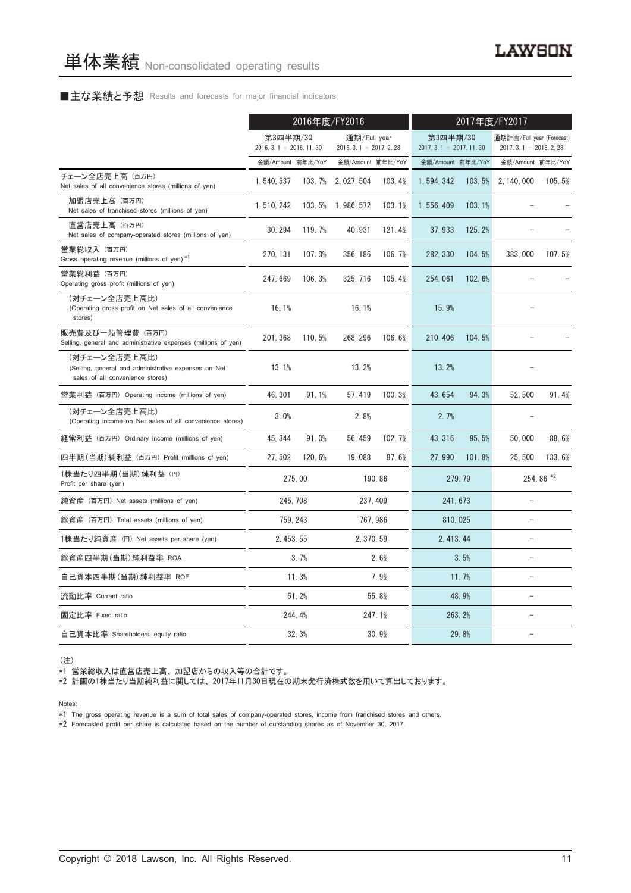#### ■主な業績と予想 Results and forecasts for major financial indicators

|                                                                                                           | 2016年度/FY2016                       |          |                                        | 2017年度/FY2017 |                   |                                     |                   |                                                     |
|-----------------------------------------------------------------------------------------------------------|-------------------------------------|----------|----------------------------------------|---------------|-------------------|-------------------------------------|-------------------|-----------------------------------------------------|
|                                                                                                           | 第3四半期/30<br>$2016.3.1 - 2016.11.30$ |          | 通期/Full year<br>$2016.3.1 - 2017.2.28$ |               |                   | 第3四半期/30<br>$2017.3.1 - 2017.11.30$ |                   | 通期計画/Full year (Forecast)<br>$2017.3.1 - 2018.2.28$ |
|                                                                                                           | 金額/Amount 前年比/YoY                   |          | 金額/Amount 前年比/YoY                      |               | 金額/Amount 前年比/YoY |                                     | 金額/Amount 前年比/YoY |                                                     |
| チェーン全店売上高 (百万円)<br>Net sales of all convenience stores (millions of yen)                                  | 1, 540, 537                         | 103.7%   | 2, 027, 504                            | 103.4%        | 1,594,342         | 103.5%                              | 2, 140, 000       | 105.5%                                              |
| 加盟店売上高(百万円)<br>Net sales of franchised stores (millions of yen)                                           | 1, 510, 242                         |          | 103.5% 1.986.572                       | 103.1%        | 1, 556, 409       | 103.1%                              |                   |                                                     |
| 直営店売上高(百万円)<br>Net sales of company-operated stores (millions of yen)                                     | 30, 294                             | 119.7%   | 40, 931                                | 121.4%        | 37, 933           | 125.2%                              |                   |                                                     |
| 営業総収入(百万円)<br>Gross operating revenue (millions of yen) *1                                                | 270, 131                            | 107.3%   | 356, 186                               | 106.7%        | 282, 330          | 104.5%                              | 383,000           | 107.5%                                              |
| 営業総利益 (百万円)<br>Operating gross profit (millions of yen)                                                   | 247.669                             | 106.3%   | 325.716                                | 105.4%        | 254, 061          | 102.6%                              |                   |                                                     |
| (対チェーン全店売上高比)<br>(Operating gross profit on Net sales of all convenience<br>stores)                       | 16.1%                               |          | 16.1%                                  |               | 15.9%             |                                     |                   |                                                     |
| 販売費及び一般管理費 (百万円)<br>Selling, general and administrative expenses (millions of yen)                        | 201, 368                            | 110.5%   | 268, 296                               | 106.6%        | 210, 406          | 104.5%                              |                   |                                                     |
| (対チェーン全店売上高比)<br>(Selling, general and administrative expenses on Net<br>sales of all convenience stores) | 13.1%                               |          | 13.2%                                  |               | 13.2%             |                                     |                   |                                                     |
| 営業利益 (百万円) Operating income (millions of yen)                                                             | 46.301                              | 91.1%    | 57.419                                 | 100.3%        | 43.654            | 94.3%                               | 52.500            | 91.4%                                               |
| (対チェーン全店売上高比)<br>(Operating income on Net sales of all convenience stores)                                | 3.0%                                |          | 2.8%                                   |               | 2.7%              |                                     |                   |                                                     |
| 経常利益 (百万円) Ordinary income (millions of yen)                                                              | 45.344                              | 91.0%    | 56, 459                                | 102.7%        | 43.316            | 95.5%                               | 50,000            | 88.6%                                               |
| 四半期(当期)純利益 (百万円) Profit (millions of yen)                                                                 | 27,502                              | 120.6%   | 19,088                                 | 87.6%         | 27,990            | 101.8%                              | 25,500            | 133.6%                                              |
| 1株当たり四半期 (当期) 純利益 (円)<br>Profit per share (yen)                                                           |                                     | 275.00   |                                        | 190.86        |                   | 279.79                              |                   | 254.86 *2                                           |
| 純資産 (百万円) Net assets (millions of yen)                                                                    |                                     | 245, 708 |                                        | 237, 409      | 241, 673          |                                     | $\equiv$          |                                                     |
| 総資産 (百万円) Total assets (millions of yen)                                                                  |                                     | 759, 243 |                                        | 767, 986      | 810, 025          |                                     |                   |                                                     |
| 1株当たり純資産 (円) Net assets per share (yen)                                                                   | 2.453.55                            |          | 2, 370, 59                             |               | 2, 413.44         |                                     | $\qquad \qquad -$ |                                                     |
| 総資産四半期(当期) 純利益率 ROA                                                                                       |                                     | 3.7%     |                                        | 2.6%          |                   | 3.5%                                | ۳                 |                                                     |
| 自己資本四半期(当期)純利益率 ROE                                                                                       |                                     | 11.3%    |                                        | 7.9%          |                   | 11.7%                               |                   |                                                     |
| 流動比率 Current ratio                                                                                        |                                     | 51.2%    |                                        | 55.8%         |                   | 48.9%                               | $\overline{a}$    |                                                     |
| 固定比率 Fixed ratio                                                                                          |                                     | 244.4%   |                                        | 247.1%        |                   | 263.2%                              |                   |                                                     |
| 自己資本比率 Shareholders' equity ratio                                                                         |                                     | 32.3%    |                                        | 30.9%         |                   | 29.8%                               |                   |                                                     |

(注)

\*1 営業総収入は直営店売上高、加盟店からの収入等の合計です。

\*2 計画の1株当たり当期純利益に関しては、2017年11月30日現在の期末発行済株式数を用いて算出しております。

Notes:

\*1 The gross operating revenue is a sum of total sales of company-operated stores, income from franchised stores and others.

\*2 Forecasted profit per share is calculated based on the number of outstanding shares as of November 30, 2017.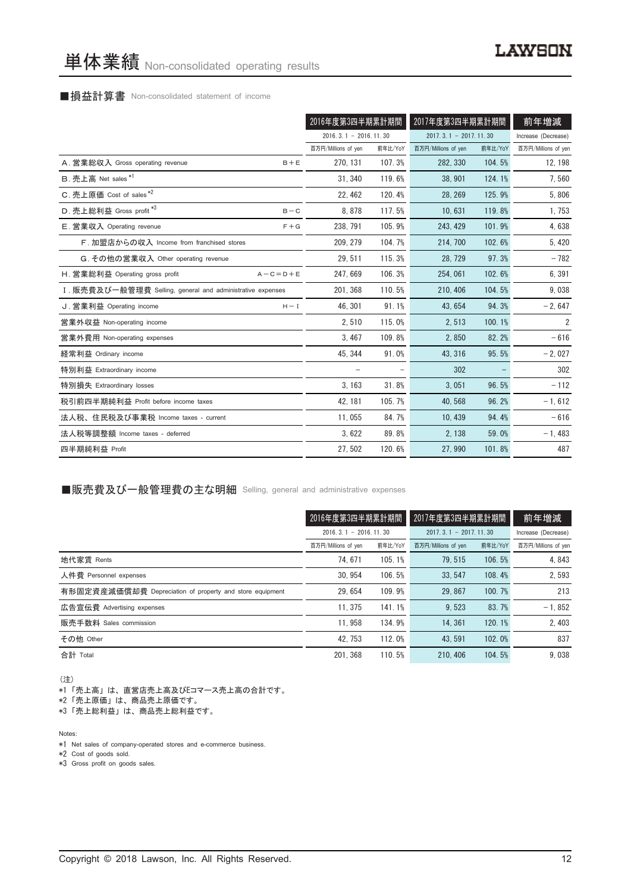#### ■損益計算書 Non-consolidated statement of income

|                                                            | 2016年度第3四半期累計期間         |         | 2017年度第3四半期累計期間         |         | 前年増減                |
|------------------------------------------------------------|-------------------------|---------|-------------------------|---------|---------------------|
|                                                            | $2016.3.1 - 2016.11.30$ |         | $2017.3.1 - 2017.11.30$ |         | Increase (Decrease) |
|                                                            | 百万円/Millions of yen     | 前年比/YoY | 百万円/Millions of yen     | 前年比/YoY | 百万円/Millions of yen |
| A. 営業総収入 Gross operating revenue<br>$B + E$                | 270, 131                | 107.3%  | 282, 330                | 104.5%  | 12, 198             |
| B. 売上高 Net sales <sup>*1</sup>                             | 31, 340                 | 119.6%  | 38.901                  | 124.1%  | 7,560               |
| C. 売上原価 Cost of sales <sup>*2</sup>                        | 22.462                  | 120.4%  | 28.269                  | 125.9%  | 5,806               |
| D. 売上総利益 Gross profit *3<br>$B - C$                        | 8.878                   | 117.5%  | 10,631                  | 119.8%  | 1,753               |
| E. 営業収入 Operating revenue<br>$F + G$                       | 238, 791                | 105.9%  | 243, 429                | 101.9%  | 4,638               |
| F. 加盟店からの収入 Income from franchised stores                  | 209.279                 | 104.7%  | 214, 700                | 102.6%  | 5,420               |
| G. その他の営業収入 Other operating revenue                        | 29, 511                 | 115.3%  | 28, 729                 | 97.3%   | $-782$              |
| H. 営業総利益 Operating gross profit<br>$A - C = D + E$         | 247, 669                | 106.3%  | 254,061                 | 102.6%  | 6,391               |
| I. 販売費及び一般管理費 Selling, general and administrative expenses | 201.368                 | 110.5%  | 210, 406                | 104.5%  | 9,038               |
| J. 営業利益 Operating income<br>$H - I$                        | 46.301                  | 91.1%   | 43.654                  | 94.3%   | $-2,647$            |
| 営業外収益 Non-operating income                                 | 2,510                   | 115.0%  | 2,513                   | 100.1%  | 2                   |
| 営業外費用 Non-operating expenses                               | 3, 467                  | 109.8%  | 2,850                   | 82.2%   | $-616$              |
| 経常利益 Ordinary income                                       | 45, 344                 | 91.0%   | 43, 316                 | 95.5%   | $-2,027$            |
| 特別利益 Extraordinary income                                  |                         |         | 302                     |         | 302                 |
| 特別損失 Extraordinary losses                                  | 3, 163                  | 31.8%   | 3,051                   | 96.5%   | $-112$              |
| 税引前四半期純利益 Profit before income taxes                       | 42, 181                 | 105.7%  | 40, 568                 | 96.2%   | $-1, 612$           |
| 法人税、住民税及び事業税 Income taxes - current                        | 11.055                  | 84.7%   | 10.439                  | 94.4%   | $-616$              |
| 法人税等調整額 Income taxes - deferred                            | 3,622                   | 89.8%   | 2,138                   | 59.0%   | $-1,483$            |
| 四半期純利益 Profit                                              | 27, 502                 | 120.6%  | 27,990                  | 101.8%  | 487                 |

#### ■販売費及び一般管理費の主な明細 Selling, general and administrative expenses

|                                                          |                                                        | 2017年度第3四半期累計期間<br>2016年度第3四半期累計期間 |                     |         | 前年増減                |
|----------------------------------------------------------|--------------------------------------------------------|------------------------------------|---------------------|---------|---------------------|
|                                                          | $2016, 3, 1 - 2016, 11, 30$<br>$2017.3.1 - 2017.11.30$ |                                    | Increase (Decrease) |         |                     |
|                                                          | 百万円/Millions of yen                                    | 前年比/YoY                            | 百万円/Millions of yen | 前年比/YoY | 百万円/Millions of yen |
| 地代家賃 Rents                                               | 74.671                                                 | 105.1%                             | 79.515              | 106.5%  | 4.843               |
| 人件費 Personnel expenses                                   | 30.954                                                 | 106.5%                             | 33.547              | 108.4%  | 2,593               |
| 有形固定資産減価償却費 Depreciation of property and store equipment | 29.654                                                 | 109.9%                             | 29.867              | 100.7%  | 213                 |
| 広告宣伝費 Advertising expenses                               | 11.375                                                 | 141.1%                             | 9.523               | 83.7%   | $-1.852$            |
| 販売手数料 Sales commission                                   | 11.958                                                 | 134.9%                             | 14.361              | 120.1%  | 2,403               |
| その他 Other                                                | 42.753                                                 | 112.0%                             | 43.591              | 102.0%  | 837                 |
| 合計 Total                                                 | 201.368                                                | 110.5%                             | 210, 406            | 104.5%  | 9.038               |

(注)

\*1「売上高」は、直営店売上高及びEコマース売上高の合計です。

\*2「売上原価」は、商品売上原価です。

\*3「売上総利益」は、商品売上総利益です。

Notes:

\*1 Net sales of company-operated stores and e-commerce business.

\*2 Cost of goods sold.

\*3 Gross profit on goods sales.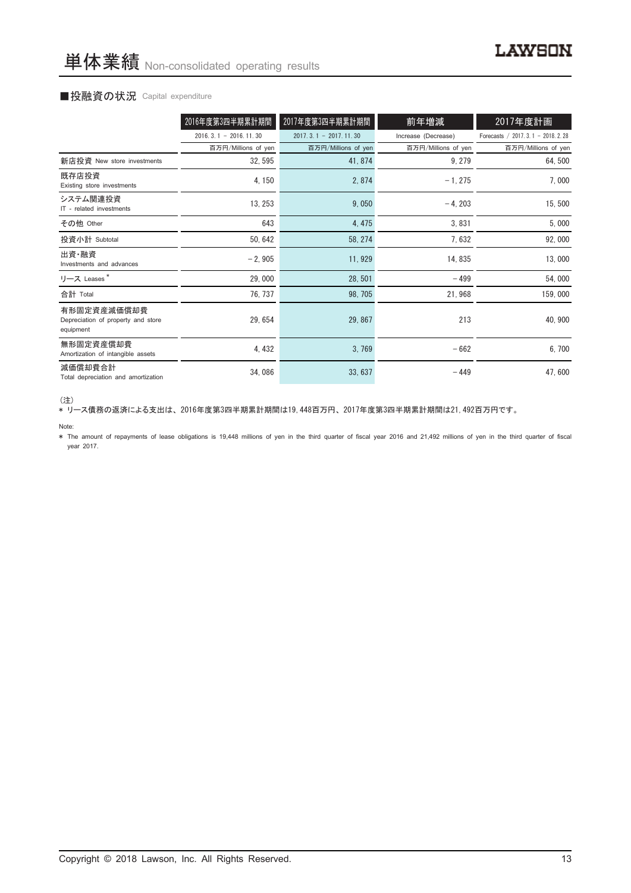#### ■投融資の状況 Capital expenditure

|                                                                | 2016年度第3四半期累計期間             | 2017年度第3四半期累計期間             | 前年増減                | 2017年度計画                           |
|----------------------------------------------------------------|-----------------------------|-----------------------------|---------------------|------------------------------------|
|                                                                | $2016, 3, 1 - 2016, 11, 30$ | $2017, 3, 1 - 2017, 11, 30$ | Increase (Decrease) | Forecasts / 2017. 3.1 - 2018. 2.28 |
|                                                                | 百万円/Millions of yen         | 百万円/Millions of yen         | 百万円/Millions of yen | 百万円/Millions of yen                |
| 新店投資 New store investments                                     | 32, 595                     | 41, 874                     | 9, 279              | 64,500                             |
| 既存店投資<br>Existing store investments                            | 4, 150                      | 2,874                       | $-1, 275$           | 7,000                              |
| システム関連投資<br>IT - related investments                           | 13, 253                     | 9,050                       | $-4, 203$           | 15,500                             |
| その他 Other                                                      | 643                         | 4, 475                      | 3,831               | 5,000                              |
| 投資小計 Subtotal                                                  | 50, 642                     | 58, 274                     | 7,632               | 92,000                             |
| 出資·融資<br>Investments and advances                              | $-2,905$                    | 11, 929                     | 14, 835             | 13,000                             |
| リース Leases*                                                    | 29,000                      | 28, 501                     | $-499$              | 54,000                             |
| 合計 Total                                                       | 76, 737                     | 98, 705                     | 21,968              | 159,000                            |
| 有形固定資産減価償却費<br>Depreciation of property and store<br>equipment | 29, 654                     | 29, 867                     | 213                 | 40, 900                            |
| 無形固定資産償却費<br>Amortization of intangible assets                 | 4, 432                      | 3,769                       | $-662$              | 6,700                              |
| 減価償却費合計<br>Total depreciation and amortization                 | 34,086                      | 33, 637                     | $-449$              | 47,600                             |

(注)

\* リース債務の返済による支出は、2016年度第3四半期累計期間は19,448百万円、2017年度第3四半期累計期間は21,492百万円です。

#### Note:

\* The amount of repayments of lease obligations is 19,448 millions of yen in the third quarter of fiscal year 2016 and 21,492 millions of yen in the third quarter of fiscal year 2017.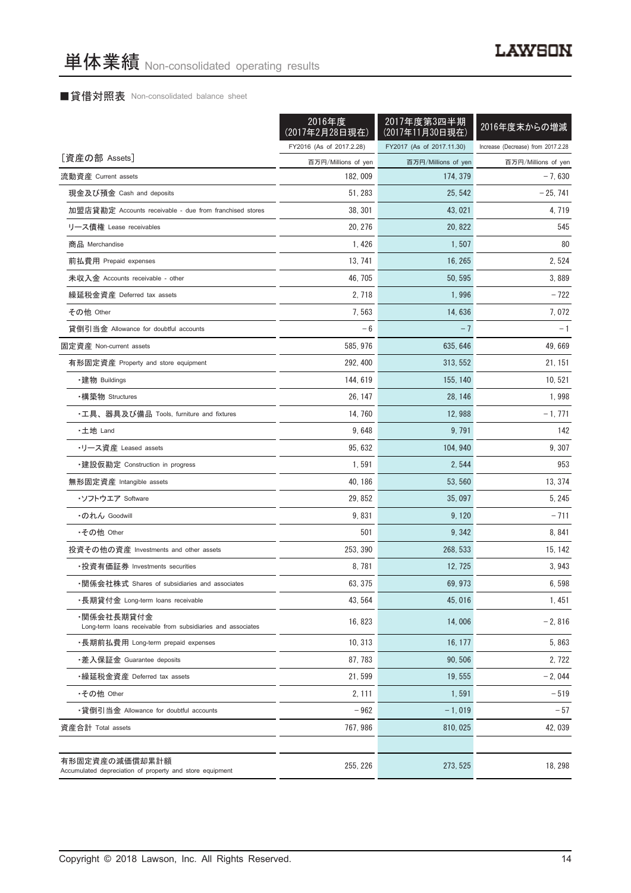### ■貸借対照表 Non-consolidated balance sheet

|                                                                            | 2016年度<br>(2017年2月28日現在) | 2017年度第3四半期<br>(2017年11月30日現在) | 2016年度末からの増減                       |
|----------------------------------------------------------------------------|--------------------------|--------------------------------|------------------------------------|
|                                                                            | FY2016 (As of 2017.2.28) | FY2017 (As of 2017.11.30)      | Increase (Decrease) from 2017.2.28 |
| [資産の部 Assets]                                                              | 百万円/Millions of yen      | 百万円/Millions of yen            | 百万円/Millions of yen                |
| 流動資産 Current assets                                                        | 182, 009                 | 174, 379                       | $-7,630$                           |
| 現金及び預金 Cash and deposits                                                   | 51, 283                  | 25, 542                        | $-25, 741$                         |
| 加盟店貸勘定 Accounts receivable - due from franchised stores                    | 38, 301                  | 43, 021                        | 4, 719                             |
| リース債権 Lease receivables                                                    | 20, 276                  | 20.822                         | 545                                |
| 商品 Merchandise                                                             | 1.426                    | 1,507                          | 80                                 |
| 前払費用 Prepaid expenses                                                      | 13, 741                  | 16, 265                        | 2, 524                             |
| 未収入金 Accounts receivable - other                                           | 46, 705                  | 50, 595                        | 3,889                              |
| 繰延税金資産 Deferred tax assets                                                 | 2, 718                   | 1,996                          | $-722$                             |
| その他 Other                                                                  | 7,563                    | 14,636                         | 7,072                              |
| 貸倒引当金 Allowance for doubtful accounts                                      | $-6$                     | $-7$                           | $-1$                               |
| 固定資産 Non-current assets                                                    | 585, 976                 | 635, 646                       | 49.669                             |
| 有形固定資産 Property and store equipment                                        | 292, 400                 | 313, 552                       | 21, 151                            |
| ・建物 Buildings                                                              | 144.619                  | 155, 140                       | 10, 521                            |
| •構築物 Structures                                                            | 26, 147                  | 28, 146                        | 1,998                              |
| ・工具、器具及び備品 Tools, furniture and fixtures                                   | 14, 760                  | 12,988                         | $-1,771$                           |
| ・土地 Land                                                                   | 9,648                    | 9,791                          | 142                                |
| ・リース資産 Leased assets                                                       | 95, 632                  | 104, 940                       | 9, 307                             |
| ・建設仮勘定 Construction in progress                                            | 1,591                    | 2, 544                         | 953                                |
| 無形固定資産 Intangible assets                                                   | 40, 186                  | 53, 560                        | 13, 374                            |
| ・ソフトウエア Software                                                           | 29, 852                  | 35,097                         | 5, 245                             |
| ・のれん Goodwill                                                              | 9,831                    | 9, 120                         | $-711$                             |
| •その他 Other                                                                 | 501                      | 9, 342                         | 8, 841                             |
| 投資その他の資産 Investments and other assets                                      | 253, 390                 | 268.533                        | 15, 142                            |
| ・投資有価証券 Investments securities                                             | 8,781                    | 12, 725                        | 3,943                              |
| ・関係会社株式 Shares of subsidiaries and associates                              | 63, 375                  | 69, 973                        | 6,598                              |
| ・長期貸付金 Long-term loans receivable                                          | 43, 564                  | 45,016                         | 1,451                              |
| ・関係会社長期貸付金<br>Long-term loans receivable from subsidiaries and associates  | 16, 823                  | 14,006                         | $-2,816$                           |
| ・長期前払費用 Long-term prepaid expenses                                         | 10, 313                  | 16, 177                        | 5,863                              |
| ・差入保証金 Guarantee deposits                                                  | 87, 783                  | 90, 506                        | 2,722                              |
| ・繰延税金資産 Deferred tax assets                                                | 21,599                   | 19, 555                        | $-2,044$                           |
| •その他 Other                                                                 | 2, 111                   | 1,591                          | $-519$                             |
| ・貸倒引当金 Allowance for doubtful accounts                                     | $-962$                   | $-1,019$                       | $-57$                              |
| 資産合計 Total assets                                                          | 767, 986                 | 810, 025                       | 42,039                             |
|                                                                            |                          |                                |                                    |
| 有形固定資産の減価償却累計額<br>Accumulated depreciation of property and store equipment | 255, 226                 | 273, 525                       | 18, 298                            |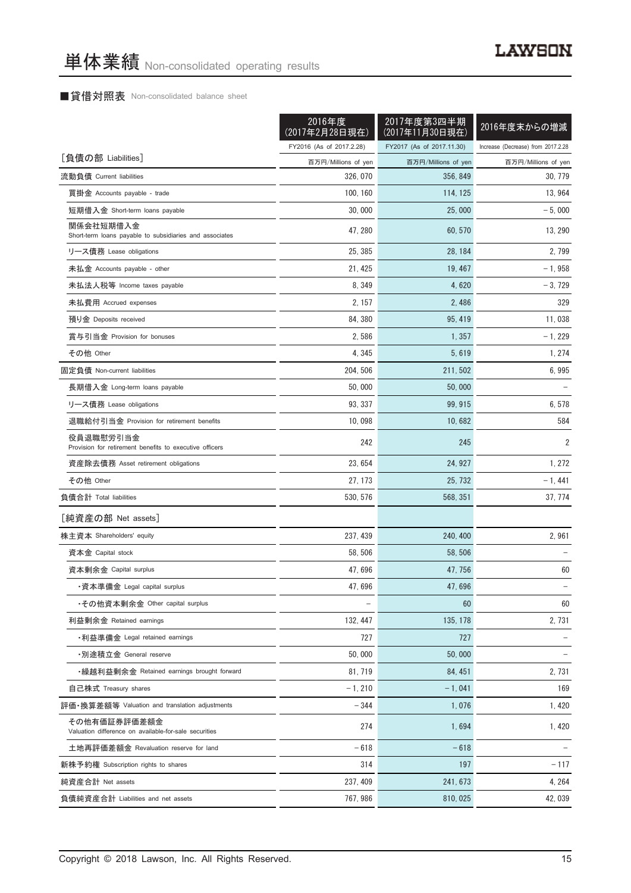### ■貸借対照表 Non-consolidated balance sheet

|                                                                      | 2016年度<br>(2017年2月28日現在) | 2017年度第3四半期<br>(2017年11月30日現在) | 2016年度末からの増減                       |
|----------------------------------------------------------------------|--------------------------|--------------------------------|------------------------------------|
|                                                                      | FY2016 (As of 2017.2.28) | FY2017 (As of 2017.11.30)      | Increase (Decrease) from 2017.2.28 |
| [負債の部 Liabilities]                                                   | 百万円/Millions of yen      | 百万円/Millions of yen            | 百万円/Millions of yen                |
| 流動負債 Current liabilities                                             | 326, 070                 | 356, 849                       | 30, 779                            |
| 買掛金 Accounts payable - trade                                         | 100, 160                 | 114, 125                       | 13, 964                            |
| 短期借入金 Short-term loans payable                                       | 30,000                   | 25,000                         | $-5,000$                           |
| 関係会社短期借入金<br>Short-term loans payable to subsidiaries and associates | 47, 280                  | 60, 570                        | 13, 290                            |
| リース債務 Lease obligations                                              | 25, 385                  | 28, 184                        | 2,799                              |
| 未払金 Accounts payable - other                                         | 21, 425                  | 19, 467                        | $-1,958$                           |
| 未払法人税等 Income taxes payable                                          | 8, 349                   | 4,620                          | $-3,729$                           |
| 未払費用 Accrued expenses                                                | 2, 157                   | 2,486                          | 329                                |
| 預り金 Deposits received                                                | 84, 380                  | 95, 419                        | 11,038                             |
| 賞与引当金 Provision for bonuses                                          | 2,586                    | 1, 357                         | $-1,229$                           |
| その他 Other                                                            | 4, 345                   | 5,619                          | 1, 274                             |
| 固定負債 Non-current liabilities                                         | 204, 506                 | 211, 502                       | 6,995                              |
| 長期借入金 Long-term loans payable                                        | 50,000                   | 50.000                         |                                    |
| リース債務 Lease obligations                                              | 93, 337                  | 99, 915                        | 6,578                              |
| 退職給付引当金 Provision for retirement benefits                            | 10,098                   | 10,682                         | 584                                |
| 役員退職慰労引当金<br>Provision for retirement benefits to executive officers | 242                      | 245                            | $\overline{2}$                     |
| 資産除去債務 Asset retirement obligations                                  | 23, 654                  | 24, 927                        | 1, 272                             |
| その他 Other                                                            | 27, 173                  | 25, 732                        | $-1,441$                           |
| 負債合計 Total liabilities                                               | 530, 576                 | 568, 351                       | 37, 774                            |
| [純資産の部 Net assets]                                                   |                          |                                |                                    |
| 株主資本 Shareholders' equity                                            | 237, 439                 | 240, 400                       | 2,961                              |
| 資本金 Capital stock                                                    | 58, 506                  | 58, 506                        |                                    |
| 資本剰余金 Capital surplus                                                | 47, 696                  | 47, 756                        | 60                                 |
| ・資本準備金 Legal capital surplus                                         | 47,696                   | 47,696                         |                                    |
| •その他資本剰余金 Other capital surplus                                      |                          | 60                             | 60                                 |
| 利益剰余金 Retained earnings                                              | 132, 447                 | 135, 178                       | 2,731                              |
| ・利益準備金 Legal retained earnings                                       | 727                      | 727                            |                                    |
| ・別途積立金 General reserve                                               | 50,000                   | 50,000                         |                                    |
| •繰越利益剰余金 Retained earnings brought forward                           | 81, 719                  | 84, 451                        | 2, 731                             |
| 自己株式 Treasury shares                                                 | $-1, 210$                | $-1,041$                       | 169                                |
| 評価·換算差額等 Valuation and translation adjustments                       |                          |                                | 1,420                              |
| その他有価証券評価差額金                                                         | $-344$                   | 1,076                          |                                    |
| Valuation difference on available-for-sale securities                | 274                      | 1,694                          | 1,420                              |
| 土地再評価差額金 Revaluation reserve for land                                | $-618$                   | $-618$                         |                                    |
| 新株予約権 Subscription rights to shares                                  | 314                      | 197                            | $-117$                             |
| 純資産合計 Net assets                                                     | 237, 409                 | 241, 673                       | 4, 264                             |
| 負債純資産合計 Liabilities and net assets                                   | 767, 986                 | 810, 025                       | 42,039                             |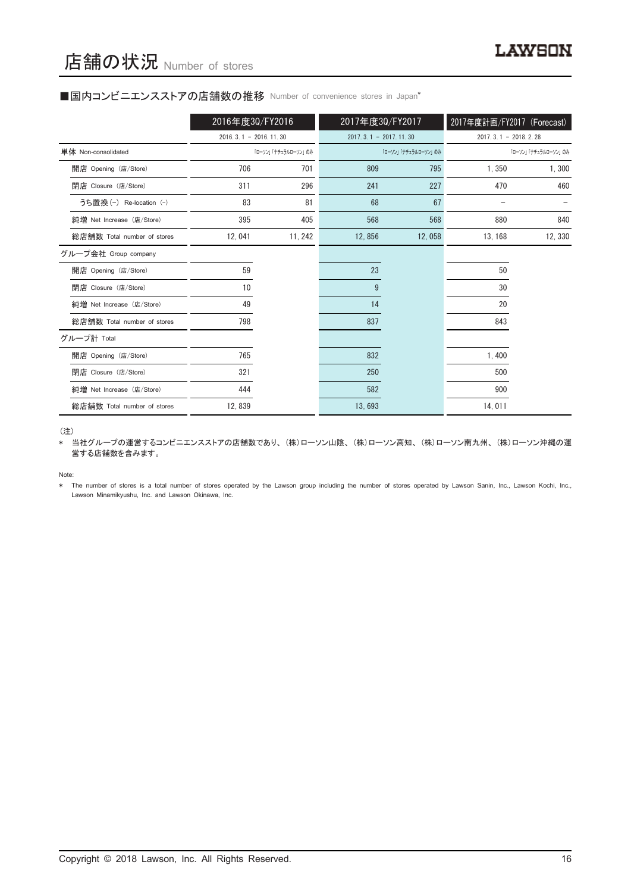#### ■国内コンビニエンスストアの店舗数の推移 Number of convenience stores in Japan\*

|                             | 2016年度30/FY2016         |                     | 2017年度30/FY2017         |                     | 2017年度計画/FY2017 (Forecast) |                     |
|-----------------------------|-------------------------|---------------------|-------------------------|---------------------|----------------------------|---------------------|
|                             | $2016.3.1 - 2016.11.30$ |                     | $2017.3.1 - 2017.11.30$ |                     | $2017.3.1 - 2018.2.28$     |                     |
| 単体 Non-consolidated         |                         | 「ローソン」「ナチュラルローソン」のみ |                         | 「ローソン」「ナチュラルローソン」のみ |                            | 「ローソン」「ナチュラルローソン」のみ |
| 開店 Opening (店/Store)        | 706                     | 701                 | 809                     | 795                 | 1,350                      | 1,300               |
| 閉店 Closure (店/Store)        | 311                     | 296                 | 241                     | 227                 | 470                        | 460                 |
| うち置換 (-) Re-location (-)    | 83                      | 81                  | 68                      | 67                  |                            |                     |
| 純増 Net Increase (店/Store)   | 395                     | 405                 | 568                     | 568                 | 880                        | 840                 |
| 総店舗数 Total number of stores | 12,041                  | 11, 242             | 12,856                  | 12,058              | 13, 168                    | 12, 330             |
| グループ会社 Group company        |                         |                     |                         |                     |                            |                     |
| 開店 Opening (店/Store)        | 59                      |                     | 23                      |                     | 50                         |                     |
| 閉店 Closure (店/Store)        | 10                      |                     | 9                       |                     | 30                         |                     |
| 純増 Net Increase (店/Store)   | 49                      |                     | 14                      |                     | 20                         |                     |
| 総店舗数 Total number of stores | 798                     |                     | 837                     |                     | 843                        |                     |
| グループ計 Total                 |                         |                     |                         |                     |                            |                     |
| 開店 Opening (店/Store)        | 765                     |                     | 832                     |                     | 1,400                      |                     |
| 閉店 Closure (店/Store)        | 321                     |                     | 250                     |                     | 500                        |                     |
| 純増 Net Increase (店/Store)   | 444                     |                     | 582                     |                     | 900                        |                     |
| 総店舗数 Total number of stores | 12,839                  |                     | 13,693                  |                     | 14,011                     |                     |

(注)

\* 当社グループの運営するコンビニエンスストアの店舗数であり、(株)ローソン山陰、(株)ローソン高知、(株)ローソン南九州、(株)ローソン沖縄の運 営する店舗数を含みます。

Note:

The number of stores is a total number of stores operated by the Lawson group including the number of stores operated by Lawson Sanin, Inc., Lawson Kochi, Inc., Lawson Minamikyushu, Inc. and Lawson Okinawa, Inc.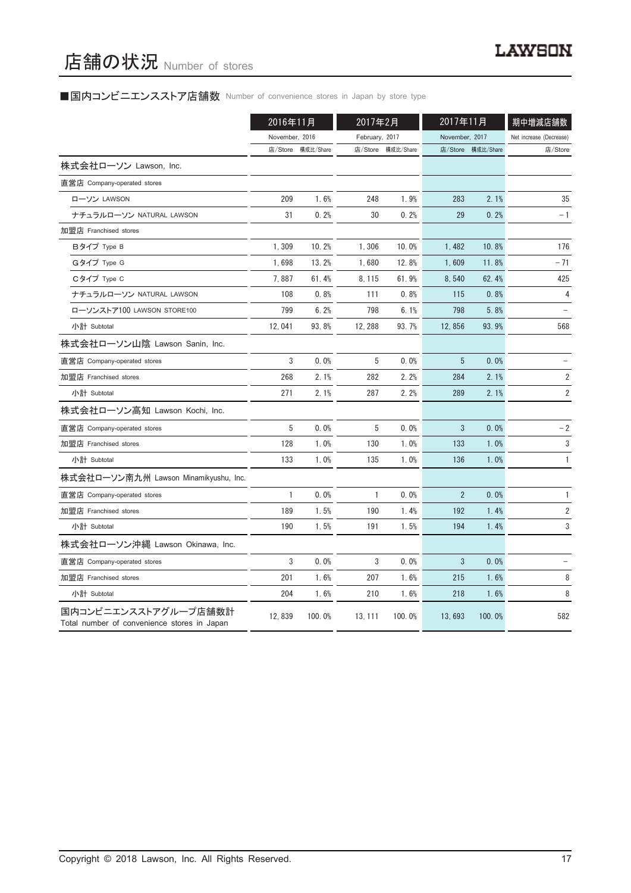# ■国内コンビニエンスストア店舗数 Number of convenience stores in Japan by store type

|                                                                     | 2016年11月       |                   | 2017年2月        |                   | 2017年11月       |                   | 期中増減店舗数                 |
|---------------------------------------------------------------------|----------------|-------------------|----------------|-------------------|----------------|-------------------|-------------------------|
|                                                                     | November, 2016 |                   | February, 2017 |                   | November, 2017 |                   | Net increase (Decrease) |
|                                                                     |                | 店/Store 構成比/Share |                | 店/Store 構成比/Share |                | 店/Store 構成比/Share | 店/Store                 |
| 株式会社ローソン Lawson, Inc.                                               |                |                   |                |                   |                |                   |                         |
| 直営店 Company-operated stores                                         |                |                   |                |                   |                |                   |                         |
| ローソン LAWSON                                                         | 209            | 1.6%              | 248            | 1.9%              | 283            | 2.1%              | 35                      |
| ナチュラルローソン NATURAL LAWSON                                            | 31             | 0.2%              | 30             | 0.2%              | 29             | 0.2%              | $-1$                    |
| 加盟店 Franchised stores                                               |                |                   |                |                   |                |                   |                         |
| Bタイプ Type B                                                         | 1,309          | 10.2%             | 1,306          | 10.0%             | 1,482          | 10.8%             | 176                     |
| Gタイプ Type G                                                         | 1,698          | 13.2%             | 1,680          | 12.8%             | 1,609          | 11.8%             | $-71$                   |
| Cタイプ Type C                                                         | 7,887          | 61.4%             | 8, 115         | 61.9%             | 8,540          | 62.4%             | 425                     |
| ナチュラルローソン NATURAL LAWSON                                            | 108            | 0.8%              | 111            | 0.8%              | 115            | 0.8%              | 4                       |
| ローソンストア100 LAWSON STORE100                                          | 799            | 6.2%              | 798            | 6.1%              | 798            | 5.8%              |                         |
| 小計 Subtotal                                                         | 12,041         | 93.8%             | 12, 288        | 93.7%             | 12,856         | 93.9%             | 568                     |
| 株式会社ローソン山陰 Lawson Sanin, Inc.                                       |                |                   |                |                   |                |                   |                         |
| 直営店 Company-operated stores                                         | 3              | 0.0%              | 5              | 0.0%              | 5              | 0.0%              |                         |
| 加盟店 Franchised stores                                               | 268            | 2.1%              | 282            | 2.2%              | 284            | 2.1%              | 2                       |
| 小計 Subtotal                                                         | 271            | 2.1%              | 287            | 2.2%              | 289            | 2.1%              | 2                       |
| 株式会社ローソン高知 Lawson Kochi, Inc.                                       |                |                   |                |                   |                |                   |                         |
| 直営店 Company-operated stores                                         | 5              | 0.0%              | 5              | 0.0%              | 3              | 0.0%              | $-2$                    |
| 加盟店 Franchised stores                                               | 128            | 1.0%              | 130            | 1.0%              | 133            | 1.0%              | 3                       |
| 小計 Subtotal                                                         | 133            | 1.0%              | 135            | 1.0%              | 136            | 1.0%              | $\mathbf{1}$            |
| 株式会社ローソン南九州 Lawson Minamikyushu, Inc.                               |                |                   |                |                   |                |                   |                         |
| 直営店 Company-operated stores                                         | 1              | 0.0%              | 1              | 0.0%              | $\overline{2}$ | 0.0%              | 1                       |
| 加盟店 Franchised stores                                               | 189            | 1.5%              | 190            | 1.4%              | 192            | 1.4%              | 2                       |
| 小計 Subtotal                                                         | 190            | 1.5%              | 191            | 1.5%              | 194            | 1.4%              | 3                       |
| 株式会社ローソン沖縄 Lawson Okinawa, Inc.                                     |                |                   |                |                   |                |                   |                         |
| 直営店 Company-operated stores                                         | 3              | 0.0%              | 3              | 0.0%              | 3              | 0.0%              |                         |
| 加盟店 Franchised stores                                               | 201            | 1.6%              | 207            | 1.6%              | 215            | 1.6%              | 8                       |
| 小計 Subtotal                                                         | 204            | 1.6%              | 210            | 1.6%              | 218            | 1.6%              | 8                       |
| 国内コンビニエンスストアグループ店舗数計<br>Total number of convenience stores in Japan | 12,839         | 100.0%            | 13, 111        | 100.0%            | 13,693         | 100.0%            | 582                     |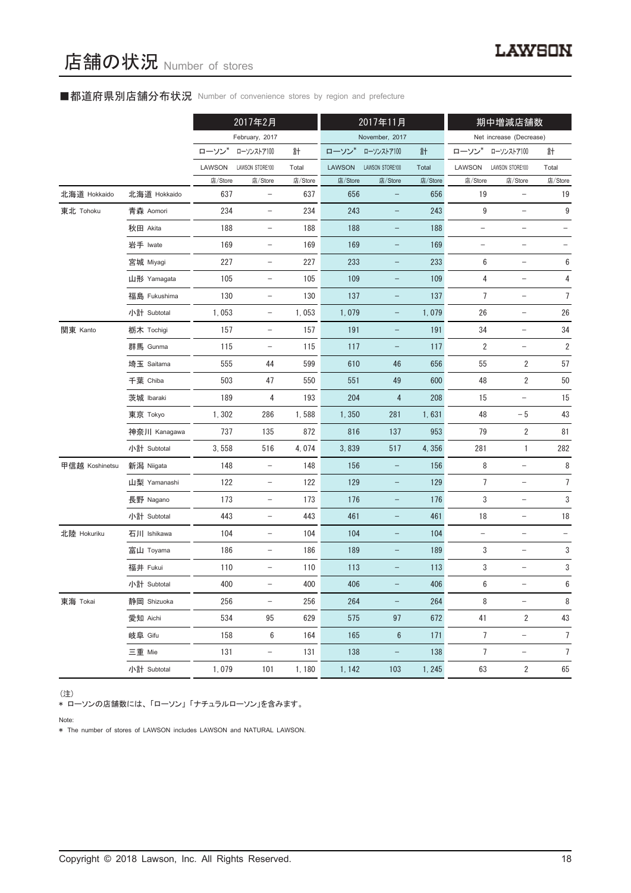### ■都道府県別店舗分布状況 Number of convenience stores by region and prefecture

|                |              |         | 2017年2月                  |         |               | 2017年11月                 |         |                   | 期中増減店舗数                  |                  |
|----------------|--------------|---------|--------------------------|---------|---------------|--------------------------|---------|-------------------|--------------------------|------------------|
|                |              |         | February, 2017           |         |               | November, 2017           |         |                   | Net increase (Decrease)  |                  |
|                |              | ローソン    | ローソンストア100               | 計       | ローソン*         | ローソンストア100               | 計       | ローソン*             | ローソンストア100               | 計                |
|                |              | LAWSON  | LAWSON STORE100          | Total   | <b>LAWSON</b> | LAWSON STORE100          | Total   | LAWSON            | LAWSON STORE100          | Total            |
|                |              | 店/Store | 店/Store                  | 店/Store | 店/Store       | 店/Store                  | 店/Store | 店/Store           | 店/Store                  | 店/Store          |
| 北海道 Hokkaido   | 北海道 Hokkaido | 637     | $\overline{\phantom{a}}$ | 637     | 656           | $\overline{\phantom{0}}$ | 656     | 19                | $\qquad \qquad -$        | 19               |
| 東北 Tohoku      | 青森 Aomori    | 234     | $\qquad \qquad -$        | 234     | 243           |                          | 243     | $\boldsymbol{9}$  | $\overline{\phantom{0}}$ | $\boldsymbol{9}$ |
|                | 秋田 Akita     | 188     | $\overline{\phantom{a}}$ | 188     | 188           | -                        | 188     | $\qquad \qquad -$ | -                        |                  |
|                | 岩手 Iwate     | 169     |                          | 169     | 169           | -                        | 169     |                   |                          |                  |
|                | 宮城 Miyagi    | 227     | $\qquad \qquad -$        | 227     | 233           | -                        | 233     | 6                 | $\qquad \qquad -$        | 6                |
|                | 山形 Yamagata  | 105     | $\overline{\phantom{a}}$ | 105     | 109           | -                        | 109     | 4                 | $\qquad \qquad -$        | 4                |
|                | 福島 Fukushima | 130     | $\qquad \qquad -$        | 130     | 137           | $\overline{\phantom{0}}$ | 137     | $\overline{7}$    | $\qquad \qquad -$        | $\overline{7}$   |
|                | 小計 Subtotal  | 1,053   | $\qquad \qquad -$        | 1,053   | 1,079         | -                        | 1,079   | 26                | $\qquad \qquad -$        | 26               |
| 関東 Kanto       | 栃木 Tochigi   | 157     | $\overline{\phantom{a}}$ | 157     | 191           | -                        | 191     | 34                | $\qquad \qquad -$        | 34               |
|                | 群馬 Gunma     | 115     | $\qquad \qquad -$        | 115     | 117           | -                        | 117     | 2                 |                          | $\sqrt{2}$       |
|                | 埼玉 Saitama   | 555     | 44                       | 599     | 610           | 46                       | 656     | 55                | $\overline{2}$           | 57               |
|                | 千葉 Chiba     | 503     | 47                       | 550     | 551           | 49                       | 600     | 48                | $\overline{2}$           | 50               |
|                | 茨城 Ibaraki   | 189     | 4                        | 193     | 204           | $\overline{4}$           | 208     | 15                |                          | 15               |
|                | 東京 Tokyo     | 1,302   | 286                      | 1,588   | 1,350         | 281                      | 1,631   | 48                | $-5$                     | 43               |
|                | 神奈川 Kanagawa | 737     | 135                      | 872     | 816           | 137                      | 953     | 79                | $\overline{2}$           | 81               |
|                | 小計 Subtotal  | 3,558   | 516                      | 4,074   | 3,839         | 517                      | 4,356   | 281               | $\mathbf{1}$             | 282              |
| 甲信越 Koshinetsu | 新潟 Niigata   | 148     | $\qquad \qquad -$        | 148     | 156           | -                        | 156     | 8                 | $\qquad \qquad -$        | 8                |
|                | 山梨 Yamanashi | 122     | $\overline{\phantom{a}}$ | 122     | 129           | -                        | 129     | 7                 | $\qquad \qquad -$        | 7                |
|                | 長野 Nagano    | 173     | $\overline{\phantom{a}}$ | 173     | 176           | -                        | 176     | 3                 | $\qquad \qquad -$        | 3                |
|                | 小計 Subtotal  | 443     | $\overline{\phantom{a}}$ | 443     | 461           | -                        | 461     | 18                | $\qquad \qquad -$        | $18\,$           |
| 北陸 Hokuriku    | 石川 Ishikawa  | 104     | $\overline{\phantom{a}}$ | 104     | 104           | -                        | 104     | $\qquad \qquad -$ | -                        |                  |
|                | 富山 Toyama    | 186     |                          | 186     | 189           |                          | 189     | 3                 | -                        | 3                |
|                | 福井 Fukui     | 110     | $\overline{\phantom{0}}$ | 110     | 113           |                          | 113     | 3                 |                          | 3                |
|                | 小計 Subtotal  | 400     |                          | 400     | 406           |                          | 406     | 6                 |                          | 6                |
| 東海 Tokai       | 静岡 Shizuoka  | 256     | $\qquad \qquad -$        | 256     | 264           | $-$                      | 264     | 8                 | $\overline{\phantom{0}}$ | 8                |
|                | 愛知 Aichi     | 534     | 95                       | 629     | 575           | 97                       | 672     | 41                | $\overline{2}$           | 43               |
|                | 岐阜 Gifu      | 158     | 6                        | 164     | 165           | $6\phantom{.}6$          | 171     | 7                 | $\qquad \qquad -$        | $\overline{7}$   |
|                | 三重 Mie       | 131     | $\qquad \qquad -$        | 131     | 138           | -                        | 138     | 7                 | $\qquad \qquad -$        | $\boldsymbol{7}$ |
|                | 小計 Subtotal  | 1,079   | 101                      | 1,180   | 1, 142        | 103                      | 1, 245  | 63                | 2                        | 65               |

#### (注)

、<sup>-----</sup><br>\* ローソンの店舗数には、「ローソン」 「ナチュラルローソン」を含みます。

Note:

\* The number of stores of LAWSON includes LAWSON and NATURAL LAWSON.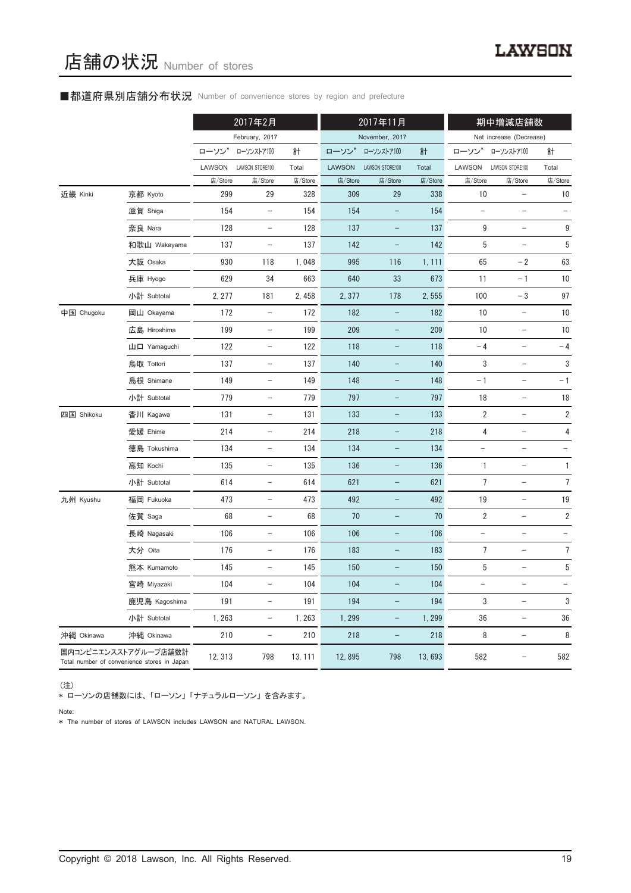### ■都道府県別店舗分布状況 Number of convenience stores by region and prefecture

|            |                                                                     |         | 2017年2月                  |         | 2017年11月      |                          | 期中増減店舗数 |                          |                          |                   |
|------------|---------------------------------------------------------------------|---------|--------------------------|---------|---------------|--------------------------|---------|--------------------------|--------------------------|-------------------|
|            |                                                                     |         | February, 2017           |         |               | November, 2017           |         |                          | Net increase (Decrease)  |                   |
|            |                                                                     | ローソン    | ローソンストア100               | 計       | ローソン*         | ローソンストア100               | 計       | ローソン                     | ローソンストア100               | 計                 |
|            |                                                                     | LAWSON  | LAWSON STORE100          | Total   | <b>LAWSON</b> | LAWSON STORE100          | Total   | LAWSON                   | LAWSON STORE100          | Total             |
|            |                                                                     | 店/Store | 店/Store                  | 店/Store | 店/Store       | 店/Store                  | 店/Store | 店/Store                  | 店/Store                  | 店/Store           |
| 近畿 Kinki   | 京都 Kyoto                                                            | 299     | 29                       | 328     | 309           | 29                       | 338     | 10                       | $\qquad \qquad -$        | 10                |
|            | 滋賀 Shiga                                                            | 154     | $\qquad \qquad -$        | 154     | 154           |                          | 154     | $\overline{\phantom{m}}$ | $\qquad \qquad -$        | $\qquad \qquad -$ |
|            | 奈良 Nara                                                             | 128     | $\overline{\phantom{a}}$ | 128     | 137           | $\overline{\phantom{a}}$ | 137     | 9                        | $\overline{\phantom{a}}$ | 9                 |
|            | 和歌山 Wakayama                                                        | 137     | $\overline{\phantom{a}}$ | 137     | 142           | -                        | 142     | 5                        | $\qquad \qquad -$        | 5                 |
|            | 大阪 Osaka                                                            | 930     | 118                      | 1,048   | 995           | 116                      | 1, 111  | 65                       | $-2$                     | 63                |
|            | 兵庫 Hyogo                                                            | 629     | 34                       | 663     | 640           | 33                       | 673     | 11                       | $-1$                     | 10                |
|            | 小計 Subtotal                                                         | 2, 277  | 181                      | 2,458   | 2,377         | 178                      | 2,555   | 100                      | $-3$                     | 97                |
| 中国 Chugoku | 岡山 Okayama                                                          | 172     | $\overline{\phantom{a}}$ | 172     | 182           | -                        | 182     | 10                       | $\overline{\phantom{a}}$ | 10                |
|            | 広島 Hiroshima                                                        | 199     | $\overline{\phantom{a}}$ | 199     | 209           | -                        | 209     | 10                       | $\overline{\phantom{a}}$ | 10                |
|            | 山口 Yamaguchi                                                        | 122     | $\overline{\phantom{a}}$ | 122     | 118           | -                        | 118     | $-4$                     | -                        | $-4$              |
|            | 鳥取 Tottori                                                          | 137     | $\overline{\phantom{a}}$ | 137     | 140           | -                        | 140     | 3                        | $\qquad \qquad -$        | 3                 |
|            | 島根 Shimane                                                          | 149     | $\overline{\phantom{a}}$ | 149     | 148           | -                        | 148     | $-1$                     | $\overline{\phantom{a}}$ | $-1$              |
|            | 小計 Subtotal                                                         | 779     | $\overline{\phantom{m}}$ | 779     | 797           | -                        | 797     | 18                       | $\qquad \qquad -$        | 18                |
| 四国 Shikoku | 香川 Kagawa                                                           | 131     | $\overline{\phantom{a}}$ | 131     | 133           | -                        | 133     | 2                        | $\qquad \qquad -$        | $\sqrt{2}$        |
|            | 愛媛 Ehime                                                            | 214     | $\overline{\phantom{a}}$ | 214     | 218           | -                        | 218     | 4                        | $\overline{\phantom{m}}$ | 4                 |
|            | 徳島 Tokushima                                                        | 134     | $\qquad \qquad -$        | 134     | 134           | -                        | 134     | $\qquad \qquad -$        |                          |                   |
|            | 高知 Kochi                                                            | 135     | $\overline{\phantom{a}}$ | 135     | 136           | -                        | 136     | 1                        | $\qquad \qquad -$        | $\mathbf{1}$      |
|            | 小計 Subtotal                                                         | 614     | $\overline{\phantom{a}}$ | 614     | 621           | -                        | 621     | 7                        | $\overline{\phantom{a}}$ | 7                 |
| 九州 Kyushu  | 福岡 Fukuoka                                                          | 473     | $\overline{\phantom{m}}$ | 473     | 492           | -                        | 492     | $19$                     | $\overline{\phantom{0}}$ | 19                |
|            | 佐賀 Saga                                                             | 68      | $\overline{\phantom{a}}$ | 68      | 70            | -                        | 70      | $\overline{\mathbf{2}}$  | $\qquad \qquad -$        | $\sqrt{2}$        |
|            | 長崎 Nagasaki                                                         | 106     | $\overline{\phantom{a}}$ | 106     | 106           | -                        | 106     | $\qquad \qquad -$        | $\qquad \qquad -$        |                   |
|            | 大分 Oita                                                             | 176     | $\qquad \qquad -$        | 176     | 183           | -                        | 183     | 7                        | -                        | $\overline{7}$    |
|            | 熊本 Kumamoto                                                         | 145     | $\qquad \qquad -$        | 145     | 150           |                          | 150     | 5                        |                          | 5                 |
|            | 宮崎 Miyazaki                                                         | 104     | $\qquad \qquad -$        | 104     | 104           |                          | 104     | -                        | -                        |                   |
|            | 鹿児島 Kagoshima                                                       | 191     | $\qquad \qquad -$        | 191     | 194           | -                        | 194     | 3                        | $\qquad \qquad -$        | 3                 |
|            | 小計 Subtotal                                                         | 1,263   | $\overline{\phantom{a}}$ | 1, 263  | 1,299         | -                        | 1,299   | $36\,$                   | $\qquad \qquad -$        | 36                |
| 沖縄 Okinawa | 沖縄 Okinawa                                                          | 210     | -                        | 210     | 218           | -                        | 218     | 8                        | $\qquad \qquad -$        | 8                 |
|            | 国内コンビニエンスストアグループ店舗数計<br>Total number of convenience stores in Japan | 12, 313 | 798                      | 13, 111 | 12,895        | 798                      | 13,693  | 582                      | $\qquad \qquad -$        | 582               |

(注)

\* ローソンの店舗数には、「ローソン」「ナチュラルローソン」を含みます。

Note:

\* The number of stores of LAWSON includes LAWSON and NATURAL LAWSON.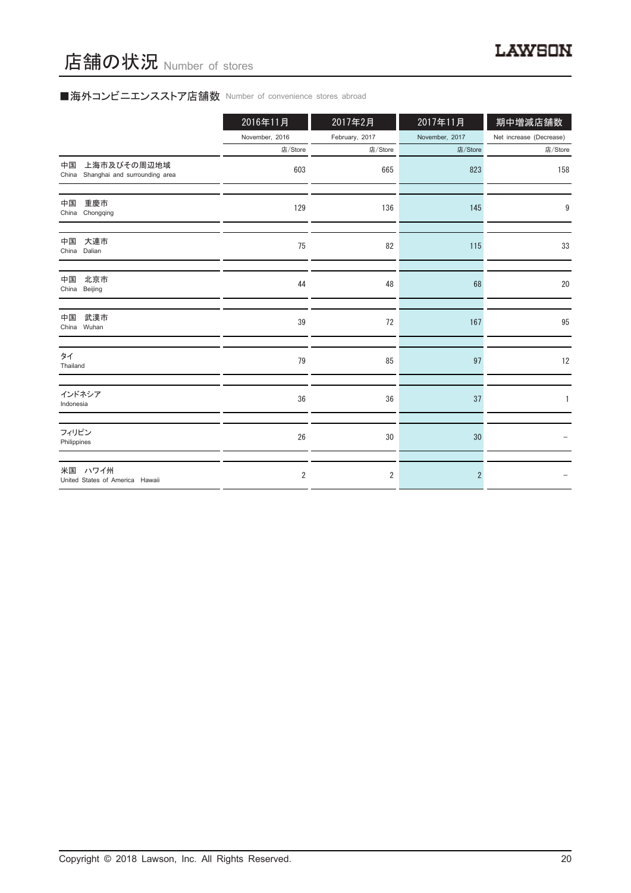# ■海外コンビニエンスストア店舗数 Number of convenience stores abroad

|                                                             | 2016年11月       | 2017年2月        | 2017年11月       | 期中増減店舗数                 |
|-------------------------------------------------------------|----------------|----------------|----------------|-------------------------|
|                                                             | November, 2016 | February, 2017 | November, 2017 | Net increase (Decrease) |
|                                                             | 店/Store        | 店/Store        | 店/Store        | 店/Store                 |
| 上海市及びその周辺地域<br>中国<br>Shanghai and surrounding area<br>China | 603            | 665            | 823            | 158                     |
| 重慶市<br>中国<br>China Chongqing                                | 129            | 136            | 145            | 9                       |
| 大連市<br>中国<br>China Dalian                                   | 75             | 82             | 115            | 33                      |
| 北京市<br>中国<br>China Beijing                                  | 44             | 48             | 68             | 20                      |
| 武漢市<br>中国<br>China Wuhan                                    | 39             | 72             | 167            | 95                      |
| タイ<br>Thailand                                              | 79             | 85             | 97             | 12                      |
| インドネシア<br>Indonesia                                         | 36             | 36             | 37             |                         |
| フィリピン<br>Philippines                                        | 26             | 30             | 30             |                         |
| 米国 ハワイ州<br>United States of America Hawaii                  | $\overline{2}$ | $\overline{2}$ | $\overline{2}$ |                         |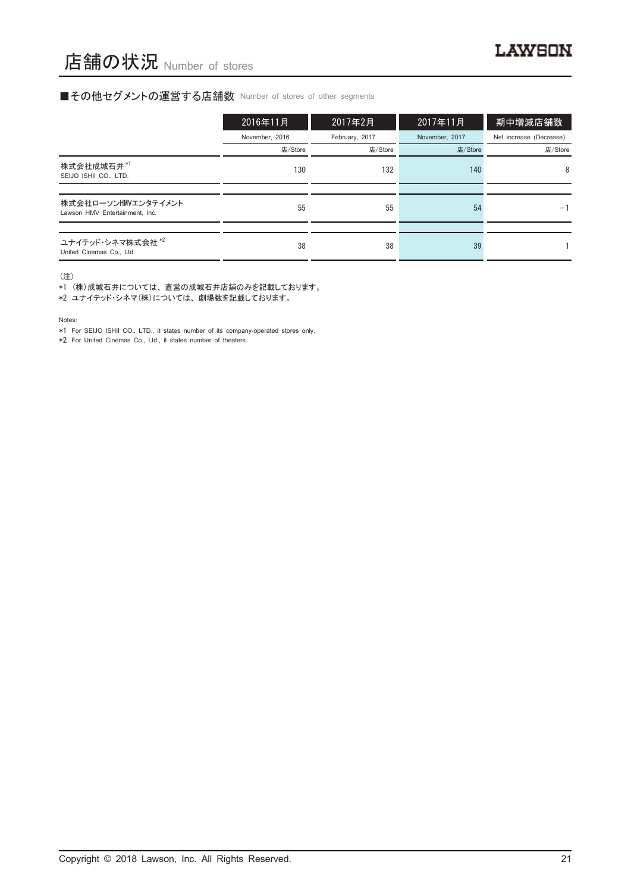#### ■その他セグメントの運営する店舗数 Number of stores of other segments

|                                                          | 2016年11月       | 2017年2月        | 2017年11月       | 期中増減店舗数                 |
|----------------------------------------------------------|----------------|----------------|----------------|-------------------------|
|                                                          | November, 2016 | February, 2017 | November, 2017 | Net increase (Decrease) |
|                                                          | 店/Store        | 店/Store        | 店/Store        | 店/Store                 |
| 株式会社成城石井*1<br>SEIJO ISHII CO., LTD.                      | 130            | 132            | 140            | 8                       |
|                                                          |                |                |                |                         |
| 株式会社ローソンHMVエンタテイメント<br>Lawson HMV Entertainment, Inc.    | 55             | 55             | 54             | $-1$                    |
|                                                          |                |                |                |                         |
| ユナイテッド・シネマ株式会社 <sup>*2</sup><br>United Cinemas Co., Ltd. | 38             | 38             | 39             |                         |

(注)

\*1 (株)成城石井については、直営の成城石井店舗のみを記載しております。

\*2 ユナイテッド・シネマ(株)については、劇場数を記載しております。

Notes:

\*1 For SEIJO ISHII CO., LTD., it states number of its company-operated stores only.

\*2 For United Cinemas Co., Ltd., it states number of theaters.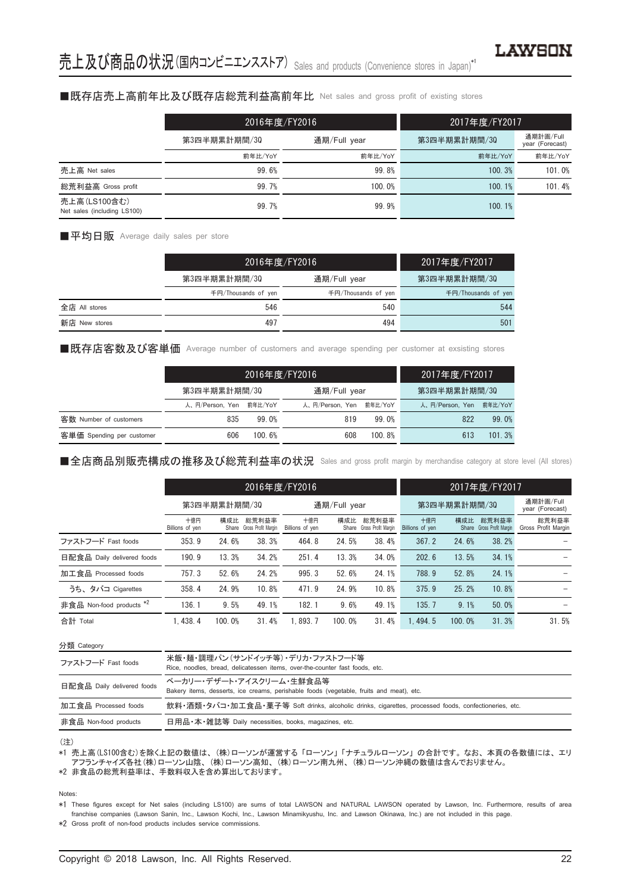#### ■既存店売上高前年比及び既存店総荒利益高前年比 Net sales and gross profit of existing stores

|                                             | 2016年度/FY2016 |              | 2017年度/FY2017 |                              |  |
|---------------------------------------------|---------------|--------------|---------------|------------------------------|--|
|                                             | 第3四半期累計期間/30  | 通期/Full year | 第3四半期累計期間/30  | 通期計画/Full<br>year (Forecast) |  |
|                                             | 前年比/YoY       | 前年比/YoY      | 前年比/YoY       | 前年比/YoY                      |  |
| 売上高 Net sales                               | 99.6%         | 99.8%        | 100.3%        | 101.0%                       |  |
| 総荒利益高 Gross profit                          | 99.7%         | 100.0%       | 100.1%        | 101.4%                       |  |
| 売上高(LS100含む)<br>Net sales (including LS100) | 99.7%         | 99.9%        | 100.1%        |                              |  |

■平均日販 Average daily sales per store

|               | 2016年度/FY2016       |                     | 2017年度/FY2017       |  |
|---------------|---------------------|---------------------|---------------------|--|
|               | 第3四半期累計期間/30        | 通期/Full year        | 第3四半期累計期間/30        |  |
|               | 千円/Thousands of yen | 千円/Thousands of yen | 千円/Thousands of yen |  |
| 全店 All stores | 546                 | 540                 | 544                 |  |
| 新店 New stores | 497                 | 494                 | 501                 |  |

■既存店客数及び客単価 Average number of customers and average spending per customer at exsisting stores

|                           |                 |         | 2016年度/FY2016   |         | 2017年度/FY2017   |         |  |
|---------------------------|-----------------|---------|-----------------|---------|-----------------|---------|--|
|                           | 第3四半期累計期間/30    |         | 通期/Full year    |         | 第3四半期累計期間/30    |         |  |
|                           | 人、円/Person, Yen | 前年比/YoY | 人、円/Person, Yen | 前年比/YoY | 人、円/Person, Yen | 前年比/YoY |  |
| 客数 Number of customers    | 835             | 99.0%   | 819             | 99.0%   | 822             | 99.0%   |  |
| 客単価 Spending per customer | 606             | 100.6%  | 608             | 100.8%  | 613             | 101.3%  |  |

■全店商品別販売構成の推移及び総荒利益率の状況 Sales and gross profit margin by merchandise category at store level (All stores)

|                                     |                        | 2016年度/FY2016 |                                    |                        |        |                                    | 2017年度/FY2017          |        |                                    |                              |
|-------------------------------------|------------------------|---------------|------------------------------------|------------------------|--------|------------------------------------|------------------------|--------|------------------------------------|------------------------------|
|                                     | 第3四半期累計期間/30           |               |                                    | 通期/Full year           |        |                                    | 第3四半期累計期間/30           |        |                                    | 通期計画/Full<br>year (Forecast) |
|                                     | 十億円<br>Billions of yen | 構成比           | 総荒利益率<br>Share Gross Profit Margin | 十億円<br>Billions of yen | 構成比    | 総荒利益率<br>Share Gross Profit Margin | 十億円<br>Billions of yen | 構成比    | 総荒利益率<br>Share Gross Profit Margin | 総荒利益率<br>Gross Profit Margin |
| ファストフード Fast foods                  | 353.9                  | 24.6%         | 38.3%                              | 464.8                  | 24.5%  | 38.4%                              | 367.2                  | 24.6%  | 38.2%                              |                              |
| 日配食品 Daily delivered foods          | 190.9                  | 13.3%         | 34.2%                              | 251.4                  | 13.3%  | 34.0%                              | 202.6                  | 13.5%  | 34.1%                              |                              |
| 加工食品 Processed foods                | 757.3                  | 52.6%         | 24.2%                              | 995.3                  | 52.6%  | 24.1%                              | 788.9                  | 52.8%  | 24.1%                              |                              |
| うち、タバコ Cigarettes                   | 358.4                  | 24.9%         | 10.8%                              | 471.9                  | 24.9%  | 10.8%                              | 375.9                  | 25.2%  | 10.8%                              |                              |
| 非食品 Non-food products <sup>*2</sup> | 136.1                  | 9.5%          | 49.1%                              | 182.1                  | 9.6%   | 49.1%                              | 135.7                  | 9.1%   | 50.0%                              |                              |
| 合計 Total                            | 1.438.4                | 100.0%        | 31.4%                              | 1.893.7                | 100.0% | 31.4%                              | 1.494.5                | 100.0% | 31.3%                              | 31.5%                        |

| 分類 Category                |                                                                                                                     |
|----------------------------|---------------------------------------------------------------------------------------------------------------------|
| ファストフード Fast foods         | 米飯・麺・調理パン(サンドイッチ等)・デリカ・ファストフード等<br>Rice, noodles, bread, delicatessen items, over-the-counter fast foods, etc.      |
| 日配食品 Daily delivered foods | ベーカリー・デザート・アイスクリーム・牛鮮食品等<br>Bakery items, desserts, ice creams, perishable foods (vegetable, fruits and meat), etc. |
| 加工食品 Processed foods       | 飲料・酒類・タバコ・加工食品・菓子等 Soft drinks, alcoholic drinks, cigarettes, processed foods, confectioneries, etc.                |
| 非食品 Non-food products      | 日用品·本·雑誌等 Daily necessities, books, magazines, etc.                                                                 |
|                            |                                                                                                                     |

(注)

\*1 売上高(LS100含む)を除く上記の数値は、(株)ローソンが運営する「ローソン」「ナチュラルローソン」の合計です。なお、本頁の各数値には、エリ アフランチャイズ各社(株)ローソン山陰、(株)ローソン高知、(株)ローソン南九州、(株)ローソン沖縄の数値は含んでおりません。

\*2 非食品の総荒利益率は、手数料収入を含め算出しております。

Notes:

\*2 Gross profit of non-food products includes service commissions.

<sup>\*1</sup> These figures except for Net sales (including LS100) are sums of total LAWSON and NATURAL LAWSON operated by Lawson, Inc. Furthermore, results of area franchise companies (Lawson Sanin, Inc., Lawson Kochi, Inc., Lawson Minamikyushu, Inc. and Lawson Okinawa, Inc.) are not included in this page.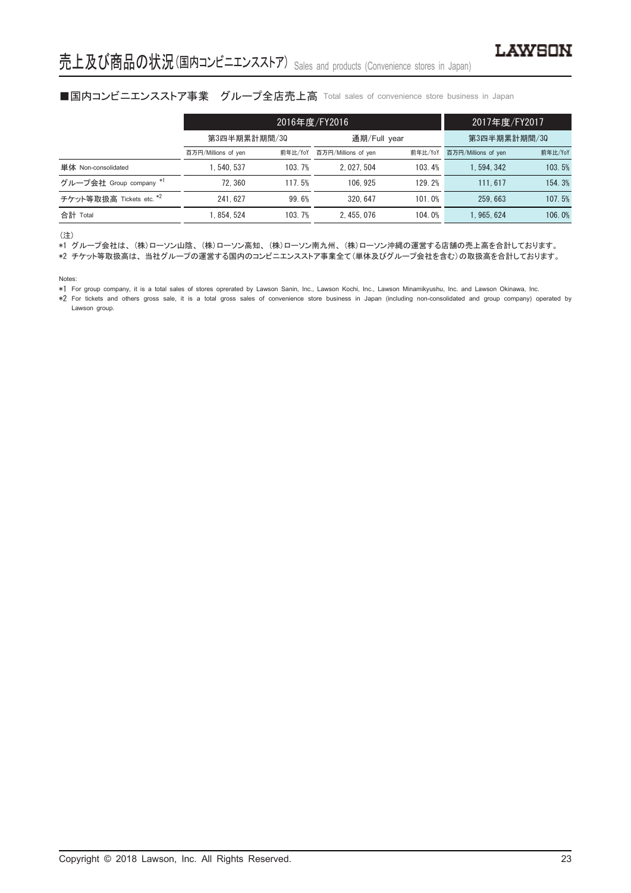## ■国内コンビニエンスストア事業 グループ全店売上高 Total sales of convenience store business in Japan

|                          |                     | 2016年度/FY2016 | 2017年度/FY2017                  |        |                     |         |
|--------------------------|---------------------|---------------|--------------------------------|--------|---------------------|---------|
|                          | 第3四半期累計期間/30        |               | 通期/Full year                   |        | 第3四半期累計期間/30        |         |
|                          | 百万円/Millions of yen | 前年比/YoY       | 百万円/Millions of yen<br>前年比/YoY |        | 百万円/Millions of yen | 前年比/YoY |
| 単体 Non-consolidated      | . 540. 537          | 103.7%        | 2.027.504                      | 103.4% | 1.594.342           | 103.5%  |
| グループ会社 Group company *1  | 72.360              | 117.5%        | 106.925                        | 129.2% | 111.617             | 154.3%  |
| チケット等取扱高 Tickets etc. *2 | 241.627             | 99.6%         | 320.647                        | 101.0% | 259.663             | 107.5%  |
| 合計 Total                 | 1.854.524           | 103.7%        | 2.455.076                      | 104.0% | 1.965.624           | 106.0%  |

(注)

\*1 グループ会社は、(株)ローソン山陰、(株)ローソン高知、(株)ローソン南九州、(株)ローソン沖縄の運営する店舗の売上高を合計しております。

\*2 チケット等取扱高は、当社グループの運営する国内のコンビニエンスストア事業全て(単体及びグループ会社を含む)の取扱高を合計しております。

Notes:

\*1 For group company, it is a total sales of stores oprerated by Lawson Sanin, Inc., Lawson Kochi, Inc., Lawson Minamikyushu, Inc. and Lawson Okinawa, Inc.

\*2 For tickets and others gross sale, it is a total gross sales of convenience store business in Japan (including non-consolidated and group company) operated by Lawson group.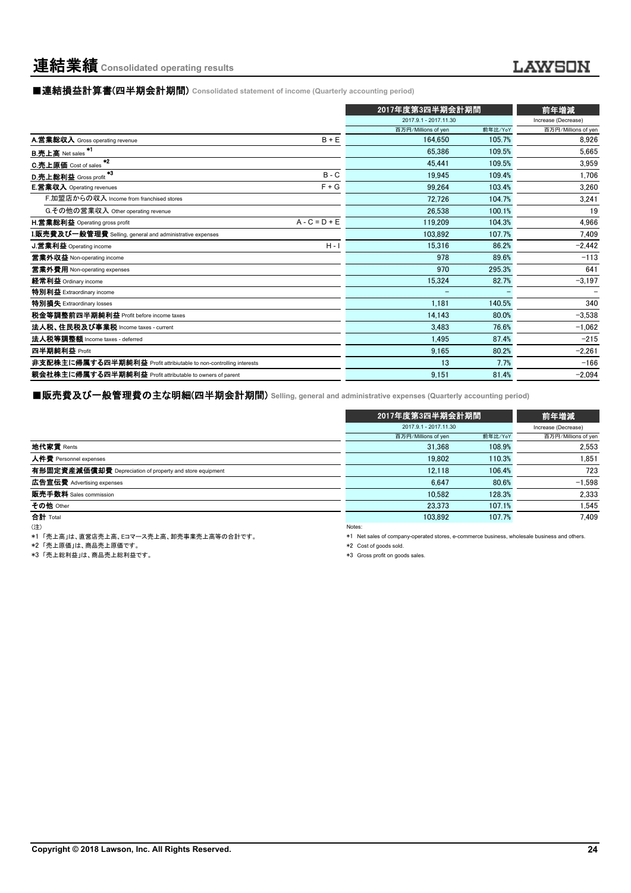■連結損益計算書(四半期会計期間) **Consolidated statement of income (Quarterly accounting period)**

|                                                                    | 2017年度第3四半期会計期間       |         | 前年増減                |
|--------------------------------------------------------------------|-----------------------|---------|---------------------|
|                                                                    | 2017.9.1 - 2017.11.30 |         | Increase (Decrease) |
|                                                                    | 百万円/Millions of yen   | 前年比/YoY | 百万円/Millions of yen |
| A.営業総収入 Gross operating revenue<br>$B + E$                         | 164.650               | 105.7%  | 8,926               |
| $*1$<br><b>B.売上高</b> Net sales                                     | 65.386                | 109.5%  | 5.665               |
| $*2$<br><b>C.売上原価</b> Cost of sales                                | 45.441                | 109.5%  | 3.959               |
| 43<br>$B - C$<br>D.売上総利益 Gross profit                              | 19.945                | 109.4%  | 1,706               |
| <b>E.営業収入</b> Operating revenues<br>$F + G$                        | 99.264                | 103.4%  | 3,260               |
| F.加盟店からの収入 Income from franchised stores                           | 72.726                | 104.7%  | 3,241               |
| G.その他の営業収入 Other operating revenue                                 | 26.538                | 100.1%  | 19                  |
| $A - C = D + E$<br><b>H.営業総利益</b> Operating gross profit           | 119.209               | 104.3%  | 4,966               |
| I.販売費及び一般管理費 Selling, general and administrative expenses          | 103.892               | 107.7%  | 7.409               |
| <b>J.営業利益</b> Operating income<br>$H - I$                          | 15.316                | 86.2%   | $-2,442$            |
| 営業外収益 Non-operating income                                         | 978                   | 89.6%   | $-113$              |
| 営業外費用 Non-operating expenses                                       | 970                   | 295.3%  | 641                 |
| 経常利益 Ordinary income                                               | 15.324                | 82.7%   | $-3,197$            |
| 特別利益 Extraordinary income                                          |                       |         |                     |
| 特別損失 Extraordinary losses                                          | 1.181                 | 140.5%  | 340                 |
| 税金等調整前四半期純利益 Profit before income taxes                            | 14,143                | 80.0%   | $-3.538$            |
| 法人税、住民税及び事業税 Income taxes - current                                | 3.483                 | 76.6%   | $-1,062$            |
| 法人税等調整額 Income taxes - deferred                                    | 1.495                 | 87.4%   | $-215$              |
| 四半期純利益 Profit                                                      | 9.165                 | 80.2%   | $-2,261$            |
| 非支配株主に帰属する四半期純利益 Profit attribiutable to non-controlling interests | 13                    | 7.7%    | $-166$              |
| 親会社株主に帰属する四半期純利益 Profit attributable to owners of parent           | 9.151                 | 81.4%   | $-2,094$            |

■販売費及び一般管理費の主な明細(四半期会計期間) **Selling, general and administrative expenses (Quarterly accounting period)**

|                                                          |        | 2017年度第3四半期会計期間       | 前年増減    |                     |
|----------------------------------------------------------|--------|-----------------------|---------|---------------------|
|                                                          |        | 2017.9.1 - 2017.11.30 |         | Increase (Decrease) |
|                                                          |        | 百万円/Millions of yen   | 前年比/YoY | 百万円/Millions of yen |
| 地代家賃 Rents                                               |        | 31.368                | 108.9%  | 2,553               |
| 人件費 Personnel expenses                                   |        | 19.802                | 110.3%  | 1,851               |
| 有形固定資産減価償却費 Depreciation of property and store equipment |        | 12.118                | 106.4%  | 723                 |
| 広告宣伝費 Advertising expenses                               |        | 6.647                 | 80.6%   | $-1.598$            |
| 販売手数料 Sales commission                                   |        | 10.582                | 128.3%  | 2,333               |
| その他 Other                                                |        | 23.373                | 107.1%  | 1,545               |
| 合計 Total                                                 |        | 103.892               | 107.7%  | 7.409               |
| (注)                                                      | Notes: |                       |         |                     |

\*1 「売上高」は、直営店売上高、Eコマース売上高、卸売事業売上高等の合計です。

\*2 「売上原価」は、商品売上原価です。

→1 →元王派溫」は、高品元上統圖です。<br>\*3 「売上総利益」は、商品売上総利益です。

\*1 Net sales of company-operated stores, e-commerce business, wholesale business and others.

\*2 Cost of goods sold.